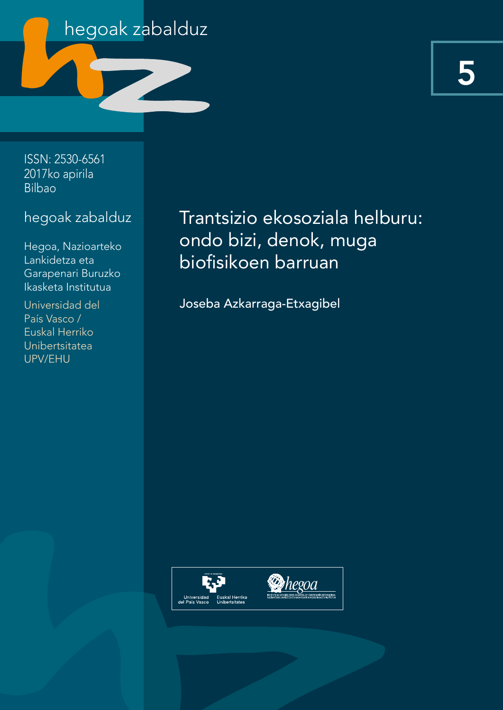

5

ISSN: 2530-6561 2017ko apirila Bilbao

# hegoak zabalduz

Hegoa, Nazioarteko Lankidetza eta Garapenari Buruzko Ikasketa Institutua

Universidad del País Vasco / Euskal Herriko Unibertsitatea UPV/EHU

Trantsizio ekosoziala helburu: ondo bizi, denok, muga biofisikoen barruan

Joseba Azkarraga-Etxagibel

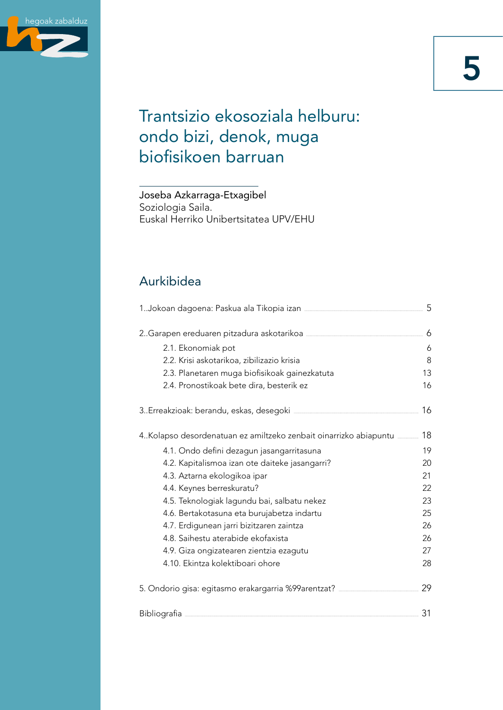

# Trantsizio ekosoziala helburu: ondo bizi, denok, muga biofisikoen barruan

Joseba Azkarraga-Etxagibel Soziologia Saila. Euskal Herriko Unibertsitatea UPV/EHU

# Aurkibidea

| 2. Garapen ereduaren pitzadura askotarikoa                                       | 6  |  |
|----------------------------------------------------------------------------------|----|--|
| 2.1. Ekonomiak pot                                                               | 6  |  |
| 2.2. Krisi askotarikoa, zibilizazio krisia                                       | 8  |  |
| 2.3. Planetaren muga biofisikoak gainezkatuta                                    | 13 |  |
| 2.4. Pronostikoak bete dira, besterik ez                                         | 16 |  |
|                                                                                  | 16 |  |
| 4.Kolapso desordenatuan ez amiltzeko zenbait oinarrizko abiapuntu                | 18 |  |
| 4.1. Ondo defini dezagun jasangarritasuna                                        | 19 |  |
| 4.2. Kapitalismoa izan ote daiteke jasangarri?                                   | 20 |  |
| 4.3. Aztarna ekologikoa ipar                                                     | 21 |  |
| 4.4. Keynes berreskuratu?                                                        | 22 |  |
| 4.5. Teknologiak lagundu bai, salbatu nekez                                      | 23 |  |
| 4.6. Bertakotasuna eta burujabetza indartu                                       | 25 |  |
| 4.7. Erdigunean jarri bizitzaren zaintza                                         | 26 |  |
| 4.8. Saihestu aterabide ekofaxista                                               | 26 |  |
| 4.9. Giza ongizatearen zientzia ezagutu                                          | 27 |  |
| 4.10. Ekintza kolektiboari ohore                                                 | 28 |  |
| 5. Ondorio gisa: egitasmo erakargarria %99 arentzat? ___________________________ | 29 |  |
|                                                                                  | 31 |  |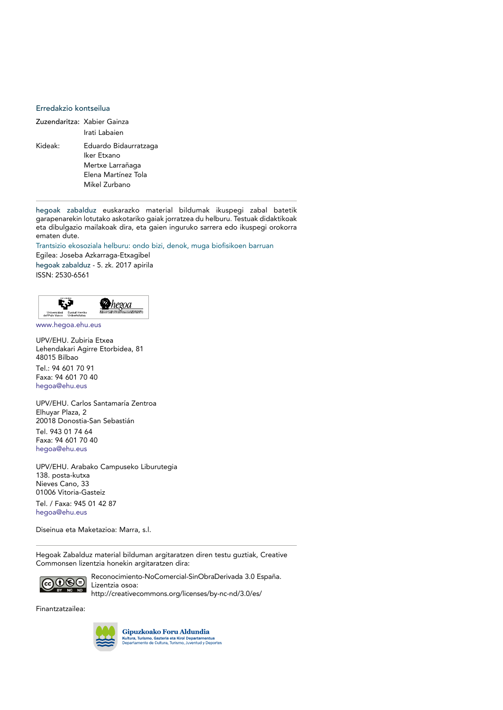#### Erredakzio kontseilua

| Zuzendaritza: Xabier Gainza |  |  |
|-----------------------------|--|--|
| Irati Labaien               |  |  |
| Eduardo Bidaurratzaga       |  |  |
| Iker Etxano                 |  |  |
| Mertxe Larrañaga            |  |  |
| Elena Martínez Tola         |  |  |
| Mikel Zurbano               |  |  |
|                             |  |  |

hegoak zabalduz euskarazko material bildumak ikuspegi zabal batetik garapenarekin lotutako askotariko gaiak jorratzea du helburu. Testuak didaktikoak eta dibulgazio mailakoak dira, eta gaien inguruko sarrera edo ikuspegi orokorra ematen dute.

Trantsizio ekosoziala helburu: ondo bizi, denok, muga biofisikoen barruan

Egilea: Joseba Azkarraga-Etxagibel hegoak zabalduz - 5. zk. 2017 apirila ISSN: 2530-6561



www.hegoa.ehu.eus

UPV/EHU. Zubiria Etxea Lehendakari Agirre Etorbidea, 81 48015 Bilbao Tel.: 94 601 70 91 Faxa: 94 601 70 40 hegoa@ehu.eus

UPV/EHU. Carlos Santamaría Zentroa Elhuyar Plaza, 2 20018 Donostia-San Sebastián Tel. 943 01 74 64 Faxa: 94 601 70 40 hegoa@ehu.eus

UPV/EHU. Arabako Campuseko Liburutegia 138. posta-kutxa Nieves Cano, 33 01006 Vitoria-Gasteiz Tel. / Faxa: 945 01 42 87 hegoa@ehu.eus

Diseinua eta Maketazioa: Marra, s.l.

Hegoak Zabalduz material bilduman argitaratzen diren testu guztiak, Creative Commonsen lizentzia honekin argitaratzen dira:



Reconocimiento-NoComercial-SinObraDerivada 3.0 España. Lizentzia osoa: http://creativecommons.org/licenses/by-nc-nd/3.0/es/

Finantzatzailea:



Gipuzkoako Foru Aldundia Kultura, Turismo, Gazteria eta Kirol Departamentua<br>Departamento de Cultura, Turismo, Juventud y Deportes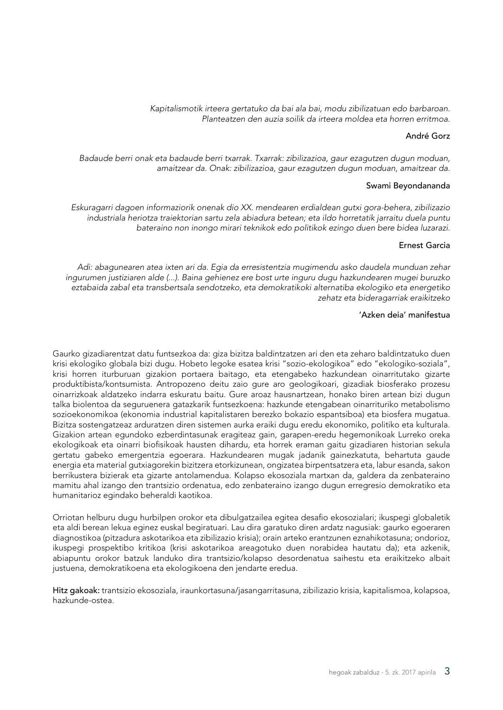*Kapitalismotik irteera gertatuko da bai ala bai, modu zibilizatuan edo barbaroan. Planteatzen den auzia soilik da irteera moldea eta horren erritmoa.*

#### André Gorz

*Badaude berri onak eta badaude berri txarrak. Txarrak: zibilizazioa, gaur ezagutzen dugun moduan, amaitzear da. Onak: zibilizazioa, gaur ezagutzen dugun moduan, amaitzear da.*

#### Swami Beyondananda

*Eskuragarri dagoen informaziorik onenak dio XX. mendearen erdialdean gutxi gora-behera, zibilizazio industriala heriotza traiektorian sartu zela abiadura betean; eta ildo horretatik jarraitu duela puntu bateraino non inongo mirari teknikok edo politikok ezingo duen bere bidea luzarazi.*

#### Ernest Garcia

*Adi: abagunearen atea ixten ari da. Egia da erresistentzia mugimendu asko daudela munduan zehar ingurumen justiziaren alde (...). Baina gehienez ere bost urte inguru dugu hazkundearen mugei buruzko eztabaida zabal eta transbertsala sendotzeko, eta demokratikoki alternatiba ekologiko eta energetiko zehatz eta bideragarriak eraikitzeko*

#### 'Azken deia' manifestua

Gaurko gizadiarentzat datu funtsezkoa da: giza bizitza baldintzatzen ari den eta zeharo baldintzatuko duen krisi ekologiko globala bizi dugu. Hobeto legoke esatea krisi "sozio-ekologikoa" edo "ekologiko-soziala", krisi horren iturburuan gizakion portaera baitago, eta etengabeko hazkundean oinarritutako gizarte produktibista/kontsumista. Antropozeno deitu zaio gure aro geologikoari, gizadiak biosferako prozesu oinarrizkoak aldatzeko indarra eskuratu baitu. Gure aroaz hausnartzean, honako biren artean bizi dugun talka biolentoa da seguruenera gatazkarik funtsezkoena: hazkunde etengabean oinarrituriko metabolismo sozioekonomikoa (ekonomia industrial kapitalistaren berezko bokazio espantsiboa) eta biosfera mugatua. Bizitza sostengatzeaz arduratzen diren sistemen aurka eraiki dugu eredu ekonomiko, politiko eta kulturala. Gizakion artean egundoko ezberdintasunak eragiteaz gain, garapen-eredu hegemonikoak Lurreko oreka ekologikoak eta oinarri biofisikoak hausten dihardu, eta horrek eraman gaitu gizadiaren historian sekula gertatu gabeko emergentzia egoerara. Hazkundearen mugak jadanik gainezkatuta, behartuta gaude energia eta material gutxiagorekin bizitzera etorkizunean, ongizatea birpentsatzera eta, labur esanda, sakon berrikustera bizierak eta gizarte antolamendua. Kolapso ekosoziala martxan da, galdera da zenbateraino mamitu ahal izango den trantsizio ordenatua, edo zenbateraino izango dugun erregresio demokratiko eta humanitarioz egindako beheraldi kaotikoa.

Orriotan helburu dugu hurbilpen orokor eta dibulgatzailea egitea desafio ekosozialari; ikuspegi globaletik eta aldi berean lekua eginez euskal begiratuari. Lau dira garatuko diren ardatz nagusiak: gaurko egoeraren diagnostikoa (pitzadura askotarikoa eta zibilizazio krisia); orain arteko erantzunen eznahikotasuna; ondorioz, ikuspegi prospektibo kritikoa (krisi askotarikoa areagotuko duen norabidea hautatu da); eta azkenik, abiapuntu orokor batzuk landuko dira trantsizio/kolapso desordenatua saihestu eta eraikitzeko albait justuena, demokratikoena eta ekologikoena den jendarte eredua.

Hitz gakoak: trantsizio ekosoziala, iraunkortasuna/jasangarritasuna, zibilizazio krisia, kapitalismoa, kolapsoa, hazkunde-ostea.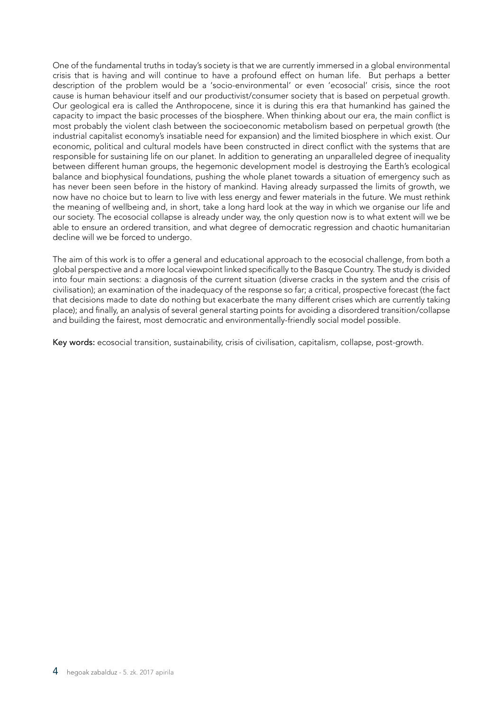One of the fundamental truths in today's society is that we are currently immersed in a global environmental crisis that is having and will continue to have a profound effect on human life. But perhaps a better description of the problem would be a 'socio-environmental' or even 'ecosocial' crisis, since the root cause is human behaviour itself and our productivist/consumer society that is based on perpetual growth. Our geological era is called the Anthropocene, since it is during this era that humankind has gained the capacity to impact the basic processes of the biosphere. When thinking about our era, the main conflict is most probably the violent clash between the socioeconomic metabolism based on perpetual growth (the industrial capitalist economy's insatiable need for expansion) and the limited biosphere in which exist. Our economic, political and cultural models have been constructed in direct conflict with the systems that are responsible for sustaining life on our planet. In addition to generating an unparalleled degree of inequality between different human groups, the hegemonic development model is destroying the Earth's ecological balance and biophysical foundations, pushing the whole planet towards a situation of emergency such as has never been seen before in the history of mankind. Having already surpassed the limits of growth, we now have no choice but to learn to live with less energy and fewer materials in the future. We must rethink the meaning of wellbeing and, in short, take a long hard look at the way in which we organise our life and our society. The ecosocial collapse is already under way, the only question now is to what extent will we be able to ensure an ordered transition, and what degree of democratic regression and chaotic humanitarian decline will we be forced to undergo.

The aim of this work is to offer a general and educational approach to the ecosocial challenge, from both a global perspective and a more local viewpoint linked specifically to the Basque Country. The study is divided into four main sections: a diagnosis of the current situation (diverse cracks in the system and the crisis of civilisation); an examination of the inadequacy of the response so far; a critical, prospective forecast (the fact that decisions made to date do nothing but exacerbate the many different crises which are currently taking place); and finally, an analysis of several general starting points for avoiding a disordered transition/collapse and building the fairest, most democratic and environmentally-friendly social model possible.

Key words: ecosocial transition, sustainability, crisis of civilisation, capitalism, collapse, post-growth.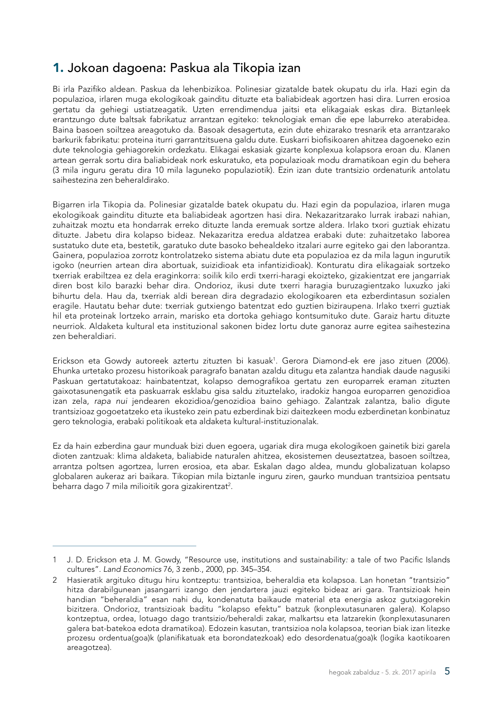# <span id="page-6-0"></span>1. Jokoan dagoena: Paskua ala Tikopia izan

Bi irla Pazifiko aldean. Paskua da lehenbizikoa. Polinesiar gizatalde batek okupatu du irla. Hazi egin da populazioa, irlaren muga ekologikoak gainditu dituzte eta baliabideak agortzen hasi dira. Lurren erosioa gertatu da gehiegi ustiatzeagatik. Uzten errendimendua jaitsi eta elikagaiak eskas dira. Biztanleek erantzungo dute baltsak fabrikatuz arrantzan egiteko: teknologiak eman die epe laburreko aterabidea. Baina basoen soiltzea areagotuko da. Basoak desagertuta, ezin dute ehizarako tresnarik eta arrantzarako barkurik fabrikatu: proteina iturri garrantzitsuena galdu dute. Euskarri biofisikoaren ahitzea dagoeneko ezin dute teknologia gehiagorekin ordezkatu. Elikagai eskasiak gizarte konplexua kolapsora eroan du. Klanen artean gerrak sortu dira baliabideak nork eskuratuko, eta populazioak modu dramatikoan egin du behera (3 mila inguru geratu dira 10 mila laguneko populaziotik). Ezin izan dute trantsizio ordenaturik antolatu saihestezina zen beheraldirako.

Bigarren irla Tikopia da. Polinesiar gizatalde batek okupatu du. Hazi egin da populazioa, irlaren muga ekologikoak gainditu dituzte eta baliabideak agortzen hasi dira. Nekazaritzarako lurrak irabazi nahian, zuhaitzak moztu eta hondarrak erreko dituzte landa eremuak sortze aldera. Irlako txori guztiak ehizatu dituzte. Jabetu dira kolapso bideaz. Nekazaritza eredua aldatzea erabaki dute: zuhaitzetako laborea sustatuko dute eta, bestetik, garatuko dute basoko behealdeko itzalari aurre egiteko gai den laborantza. Gainera, populazioa zorrotz kontrolatzeko sistema abiatu dute eta populazioa ez da mila lagun ingurutik igoko (neurrien artean dira abortuak, suizidioak eta infantizidioak). Konturatu dira elikagaiak sortzeko txerriak erabiltzea ez dela eraginkorra: soilik kilo erdi txerri-haragi ekoizteko, gizakientzat ere jangarriak diren bost kilo barazki behar dira. Ondorioz, ikusi dute txerri haragia buruzagientzako luxuzko jaki bihurtu dela. Hau da, txerriak aldi berean dira degradazio ekologikoaren eta ezberdintasun sozialen eragile. Hautatu behar dute: txerriak gutxiengo batentzat edo guztien biziraupena. Irlako txerri guztiak hil eta proteinak lortzeko arrain, marisko eta dortoka gehiago kontsumituko dute. Garaiz hartu dituzte neurriok. Aldaketa kultural eta instituzional sakonen bidez lortu dute ganoraz aurre egitea saihestezina zen beheraldiari.

Erickson eta Gowdy autoreek aztertu zituzten bi kasuak1 . Gerora Diamond-ek ere jaso zituen (2006). Ehunka urtetako prozesu historikoak paragrafo banatan azaldu ditugu eta zalantza handiak daude nagusiki Paskuan gertatutakoaz: hainbatentzat, kolapso demografikoa gertatu zen europarrek eraman zituzten gaixotasunengatik eta paskuarrak esklabu gisa saldu zituztelako, iradokiz hangoa europarren genozidioa izan zela, *rapa nui* jendearen ekozidioa/genozidioa baino gehiago. Zalantzak zalantza, balio digute trantsizioaz gogoetatzeko eta ikusteko zein patu ezberdinak bizi daitezkeen modu ezberdinetan konbinatuz gero teknologia, erabaki politikoak eta aldaketa kultural-instituzionalak.

Ez da hain ezberdina gaur munduak bizi duen egoera, ugariak dira muga ekologikoen gainetik bizi garela dioten zantzuak: klima aldaketa, baliabide naturalen ahitzea, ekosistemen deuseztatzea, basoen soiltzea, arrantza poltsen agortzea, lurren erosioa, eta abar. Eskalan dago aldea, mundu globalizatuan kolapso globalaren aukeraz ari baikara. Tikopian mila biztanle inguru ziren, gaurko munduan trantsizioa pentsatu beharra dago 7 mila milioitik gora gizakirentzat<sup>2</sup>.

<sup>1</sup> J. D. Erickson eta J. M. Gowdy, "Resource use, institutions and sustainability*:* a tale of two Pacific Islands cultures". *Land Economics* 76, 3 zenb., 2000, pp. 345–354.

<sup>2</sup> Hasieratik argituko ditugu hiru kontzeptu: trantsizioa, beheraldia eta kolapsoa. Lan honetan "trantsizio" hitza darabilgunean jasangarri izango den jendartera jauzi egiteko bideaz ari gara. Trantsizioak hein handian "beheraldia" esan nahi du, kondenatuta baikaude material eta energia askoz gutxiagorekin bizitzera. Ondorioz, trantsizioak baditu "kolapso efektu" batzuk (konplexutasunaren galera). Kolapso kontzeptua, ordea, lotuago dago trantsizio/beheraldi zakar, malkartsu eta latzarekin (konplexutasunaren galera bat-batekoa edota dramatikoa). Edozein kasutan, trantsizioa nola kolapsoa, teorian biak izan litezke prozesu ordentua(goa)k (planifikatuak eta borondatezkoak) edo desordenatua(goa)k (logika kaotikoaren areagotzea).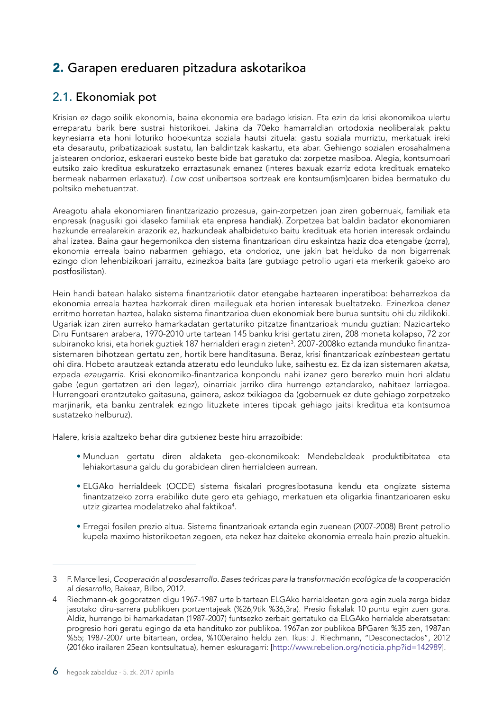# <span id="page-7-0"></span>2. Garapen ereduaren pitzadura askotarikoa

## 2.1. Ekonomiak pot

Krisian ez dago soilik ekonomia, baina ekonomia ere badago krisian. Eta ezin da krisi ekonomikoa ulertu erreparatu barik bere sustrai historikoei. Jakina da 70eko hamarraldian ortodoxia neoliberalak paktu keynesiarra eta honi loturiko hobekuntza soziala hautsi zituela: gastu soziala murriztu, merkatuak ireki eta desarautu, pribatizazioak sustatu, lan baldintzak kaskartu, eta abar. Gehiengo sozialen erosahalmena jaistearen ondorioz, eskaerari eusteko beste bide bat garatuko da: zorpetze masiboa. Alegia, kontsumoari eutsiko zaio kreditua eskuratzeko erraztasunak emanez (interes baxuak ezarriz edota kredituak emateko bermeak nabarmen erlaxatuz). *Low cost* unibertsoa sortzeak ere kontsum(ism)oaren bidea bermatuko du poltsiko mehetuentzat.

Areagotu ahala ekonomiaren finantzarizazio prozesua, gain-zorpetzen joan ziren gobernuak, familiak eta enpresak (nagusiki goi klaseko familiak eta enpresa handiak). Zorpetzea bat baldin badator ekonomiaren hazkunde errealarekin arazorik ez, hazkundeak ahalbidetuko baitu kredituak eta horien interesak ordaindu ahal izatea. Baina gaur hegemonikoa den sistema finantzarioan diru eskaintza haziz doa etengabe (zorra), ekonomia erreala baino nabarmen gehiago, eta ondorioz, une jakin bat helduko da non bigarrenak ezingo dion lehenbizikoari jarraitu, ezinezkoa baita (are gutxiago petrolio ugari eta merkerik gabeko aro postfosilistan).

Hein handi batean halako sistema finantzariotik dator etengabe haztearen inperatiboa: beharrezkoa da ekonomia erreala haztea hazkorrak diren maileguak eta horien interesak bueltatzeko. Ezinezkoa denez erritmo horretan haztea, halako sistema finantzarioa duen ekonomiak bere burua suntsitu ohi du ziklikoki. Ugariak izan ziren aurreko hamarkadatan gertaturiko pitzatze finantzarioak mundu guztian: Nazioarteko Diru Funtsaren arabera, 1970-2010 urte tartean 145 banku krisi gertatu ziren, 208 moneta kolapso, 72 zor subiranoko krisi, eta horiek guztiek 187 herrialderi eragin zieten<sup>3</sup>. 2007-2008ko eztanda munduko finantzasistemaren bihotzean gertatu zen, hortik bere handitasuna. Beraz, krisi finantzarioak *ezinbestean* gertatu ohi dira. Hobeto arautzeak eztanda atzeratu edo leunduko luke, saihestu ez. Ez da izan sistemaren *akatsa*, ezpada *ezaugarria*. Krisi ekonomiko-finantzarioa konpondu nahi izanez gero berezko muin hori aldatu gabe (egun gertatzen ari den legez), oinarriak jarriko dira hurrengo eztandarako, nahitaez larriagoa. Hurrengoari erantzuteko gaitasuna, gainera, askoz txikiagoa da (gobernuek ez dute gehiago zorpetzeko marjinarik, eta banku zentralek ezingo lituzkete interes tipoak gehiago jaitsi kreditua eta kontsumoa sustatzeko helburuz).

Halere, krisia azaltzeko behar dira gutxienez beste hiru arrazoibide:

- Munduan gertatu diren aldaketa geo-ekonomikoak: Mendebaldeak produktibitatea eta lehiakortasuna galdu du gorabidean diren herrialdeen aurrean.
- ELGAko herrialdeek (OCDE) sistema fiskalari progresibotasuna kendu eta ongizate sistema finantzatzeko zorra erabiliko dute gero eta gehiago, merkatuen eta oligarkia finantzarioaren esku utziz gizartea modelatzeko ahal faktikoa<sup>4</sup>.
- Erregai fosilen prezio altua. Sistema finantzarioak eztanda egin zuenean (2007-2008) Brent petrolio kupela maximo historikoetan zegoen, eta nekez haz daiteke ekonomia erreala hain prezio altuekin.

<sup>3</sup> F. Marcellesi, *Cooperación al posdesarrollo. Bases teóricas para la transformación ecológica de la cooperación al desarrollo,* Bakeaz, Bilbo, 2012.

<sup>4</sup> Riechmann-ek gogoratzen digu 1967-1987 urte bitartean ELGAko herrialdeetan gora egin zuela zerga bidez jasotako diru-sarrera publikoen portzentajeak (%26,9tik %36,3ra). Presio fiskalak 10 puntu egin zuen gora. Aldiz, hurrengo bi hamarkadatan (1987-2007) funtsezko zerbait gertatuko da ELGAko herrialde aberatsetan: progresio hori geratu egingo da eta handituko zor publikoa. 1967an zor publikoa BPGaren %35 zen, 1987an %55; 1987-2007 urte bitartean, ordea, %100eraino heldu zen. Ikus: J. Riechmann, "Desconectados", 2012 (2016ko irailaren 25ean kontsultatua), hemen eskuragarri: [<http://www.rebelion.org/noticia.php?id=142989>].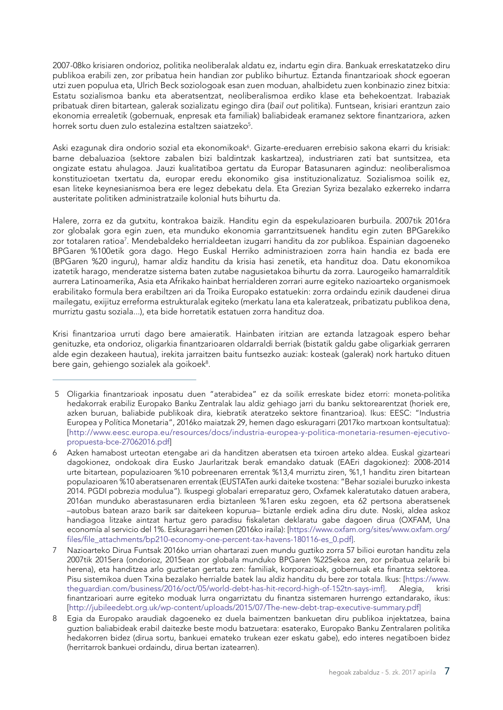2007-08ko krisiaren ondorioz, politika neoliberalak aldatu ez, indartu egin dira. Bankuak erreskatatzeko diru publikoa erabili zen, zor pribatua hein handian zor publiko bihurtuz. Eztanda finantzarioak *shock* egoeran utzi zuen populua eta, Ulrich Beck soziologoak esan zuen moduan, ahalbidetu zuen konbinazio zinez bitxia: Estatu sozialismoa banku eta aberatsentzat, neoliberalismoa erdiko klase eta behekoentzat. Irabaziak pribatuak diren bitartean, galerak sozializatu egingo dira (*bail out* politika). Funtsean, krisiari erantzun zaio ekonomia errealetik (gobernuak, enpresak eta familiak) baliabideak eramanez sektore finantzariora, azken horrek sortu duen zulo estalezina estaltzen saiatzeko<sup>5</sup>.

Aski ezagunak dira ondorio sozial eta ekonomikoak<sup>6</sup>. Gizarte-ereduaren errebisio sakona ekarri du krisiak: barne debaluazioa (sektore zabalen bizi baldintzak kaskartzea), industriaren zati bat suntsitzea, eta ongizate estatu ahulagoa. Jauzi kualitatiboa gertatu da Europar Batasunaren aginduz: neoliberalismoa konstituzioetan txertatu da, europar eredu ekonomiko gisa instituzionalizatuz. Sozialismoa soilik ez, esan liteke keynesianismoa bera ere legez debekatu dela. Eta Grezian Syriza bezalako ezkerreko indarra austeritate politiken administratzaile kolonial huts bihurtu da.

Halere, zorra ez da gutxitu, kontrakoa baizik. Handitu egin da espekulazioaren burbuila. 2007tik 2016ra zor globalak gora egin zuen, eta munduko ekonomia garrantzitsuenek handitu egin zuten BPGarekiko zor totalaren ratioa<sup>7</sup>. Mendebaldeko herrialdeetan izugarri handitu da zor publikoa. Espainian dagoeneko BPGaren %100etik gora dago. Hego Euskal Herriko administrazioen zorra hain handia ez bada ere (BPGaren %20 inguru), hamar aldiz handitu da krisia hasi zenetik, eta handituz doa. Datu ekonomikoa izatetik harago, menderatze sistema baten zutabe nagusietakoa bihurtu da zorra. Laurogeiko hamarralditik aurrera Latinoamerika, Asia eta Afrikako hainbat herrialderen zorrari aurre egiteko nazioarteko organismoek erabilitako formula bera erabiltzen ari da Troika Europako estatuekin: zorra ordaindu ezinik daudenei dirua mailegatu, exijituz erreforma estrukturalak egiteko (merkatu lana eta kaleratzeak, pribatizatu publikoa dena, murriztu gastu soziala...), eta bide horretatik estatuen zorra handituz doa.

Krisi finantzarioa urruti dago bere amaieratik. Hainbaten iritzian are eztanda latzagoak espero behar genituzke, eta ondorioz, oligarkia finantzarioaren oldarraldi berriak (bistatik galdu gabe oligarkiak gerraren alde egin dezakeen hautua), irekita jarraitzen baitu funtsezko auziak: kosteak (galerak) nork hartuko dituen bere gain, gehiengo sozialek ala goikoek<sup>8</sup>.

<sup>5</sup> Oligarkia finantzarioak inposatu duen "aterabidea" ez da soilik erreskate bidez etorri: moneta-politika hedakorrak erabiliz Europako Banku Zentralak lau aldiz gehiago jarri du banku sektorearentzat (horiek ere, azken buruan, baliabide publikoak dira, kiebratik ateratzeko sektore finantzarioa). Ikus: EESC: "Industria Europea y Política Monetaria", 2016ko maiatzak 29, hemen dago eskuragarri (2017ko martxoan kontsultatua): [[http://www.eesc.europa.eu/resources/docs/industria-europea-y-politica-monetaria-resumen-ejecutivo](http://www.eesc.europa.eu/resources/docs/industria-europea-y-politica-monetaria-resumen-ejecutivo-propuesta-bce-27062016.pdf)[propuesta-bce-27062016.pdf](http://www.eesc.europa.eu/resources/docs/industria-europea-y-politica-monetaria-resumen-ejecutivo-propuesta-bce-27062016.pdf)]

<sup>6</sup> Azken hamabost urteotan etengabe ari da handitzen aberatsen eta txiroen arteko aldea. Euskal gizarteari dagokionez, ondokoak dira Eusko Jaurlaritzak berak emandako datuak (EAEri dagokionez): 2008-2014 urte bitartean, populazioaren %10 pobreenaren errentak %13,4 murriztu ziren, %1,1 handitu ziren bitartean populazioaren %10 aberatsenaren errentak (EUSTATen aurki daiteke txostena: "Behar sozialei buruzko inkesta 2014. PGDI pobrezia modulua"). Ikuspegi globalari erreparatuz gero, Oxfamek kaleratutako datuen arabera, 2016an munduko aberastasunaren erdia biztanleen %1aren esku zegoen, eta 62 pertsona aberatsenek –autobus batean arazo barik sar daitekeen kopurua– biztanle erdiek adina diru dute. Noski, aldea askoz handiagoa litzake aintzat hartuz gero paradisu fiskaletan deklaratu gabe dagoen dirua (OXFAM, Una economía al servicio del 1%. Eskuragarri hemen (2016ko iraila): [[https://www.oxfam.org/sites/www.oxfam.org/](https://www.oxfam.org/sites/www.oxfam.org/files/file_attachments/bp210-economy-one-percent-tax-havens-180116-es_0.pdf) [files/file\\_attachments/bp210-economy-one-percent-tax-havens-180116-es\\_0.pdf\]](https://www.oxfam.org/sites/www.oxfam.org/files/file_attachments/bp210-economy-one-percent-tax-havens-180116-es_0.pdf).

<sup>7</sup> Nazioarteko Dirua Funtsak 2016ko urrian ohartarazi zuen mundu guztiko zorra 57 bilioi eurotan handitu zela 2007tik 2015era (ondorioz, 2015ean zor globala munduko BPGaren %225ekoa zen, zor pribatua zelarik bi herena), eta handitzea arlo guztietan gertatu zen: familiak, korporazioak, gobernuak eta finantza sektorea. Pisu sistemikoa duen Txina bezalako herrialde batek lau aldiz handitu du bere zor totala. Ikus: [[https://www.](https://www.theguardian.com/business/2016/oct/05/world-debt-has-hit-record-high-of-152tn-says-imf) [theguardian.com/business/2016/oct/05/world-debt-has-hit-record-high-of-152tn-says-imf](https://www.theguardian.com/business/2016/oct/05/world-debt-has-hit-record-high-of-152tn-says-imf)]. Alegia, krisi finantzarioari aurre egiteko moduak lurra ongarriztatu du finantza sistemaren hurrengo eztandarako, ikus: [[http://jubileedebt.org.uk/wp-content/uploads/2015/07/The-new-debt-trap-executive-summary.pdf\]](http://jubileedebt.org.uk/wp-content/uploads/2015/07/The-new-debt-trap-executive-summary.pdf)

<sup>8</sup> Egia da Europako araudiak dagoeneko ez duela baimentzen bankuetan diru publikoa injektatzea, baina guztion baliabideak erabil daitezke beste modu batzuetara: esaterako, Europako Banku Zentralaren politika hedakorren bidez (dirua sortu, bankuei emateko trukean ezer eskatu gabe), edo interes negatiboen bidez (herritarrok bankuei ordaindu, dirua bertan izatearren).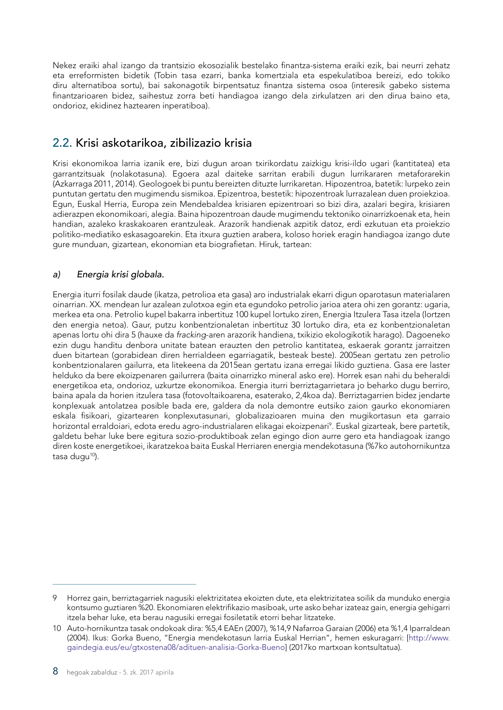<span id="page-9-0"></span>Nekez eraiki ahal izango da trantsizio ekosozialik bestelako finantza-sistema eraiki ezik, bai neurri zehatz eta erreformisten bidetik (Tobin tasa ezarri, banka komertziala eta espekulatiboa bereizi, edo tokiko diru alternatiboa sortu), bai sakonagotik birpentsatuz finantza sistema osoa (interesik gabeko sistema finantzarioaren bidez, saihestuz zorra beti handiagoa izango dela zirkulatzen ari den dirua baino eta, ondorioz, ekidinez haztearen inperatiboa).

## 2.2. Krisi askotarikoa, zibilizazio krisia

Krisi ekonomikoa larria izanik ere, bizi dugun aroan txirikordatu zaizkigu krisi-ildo ugari (kantitatea) eta garrantzitsuak (nolakotasuna). Egoera azal daiteke sarritan erabili dugun lurrikararen metaforarekin (Azkarraga 2011, 2014). Geologoek bi puntu bereizten dituzte lurrikaretan. Hipozentroa, batetik: lurpeko zein puntutan gertatu den mugimendu sismikoa. Epizentroa, bestetik: hipozentroak lurrazalean duen proiekzioa. Egun, Euskal Herria, Europa zein Mendebaldea krisiaren epizentroari so bizi dira, azalari begira, krisiaren adierazpen ekonomikoari, alegia. Baina hipozentroan daude mugimendu tektoniko oinarrizkoenak eta, hein handian, azaleko kraskakoaren erantzuleak. Arazorik handienak azpitik datoz, erdi ezkutuan eta proiekzio politiko-mediatiko eskasagoarekin. Eta itxura guztien arabera, koloso horiek eragin handiagoa izango dute gure munduan, gizartean, ekonomian eta biografietan. Hiruk, tartean:

### *a) Energia krisi globala.*

Energia iturri fosilak daude (ikatza, petrolioa eta gasa) aro industrialak ekarri digun oparotasun materialaren oinarrian. XX. mendean lur azalean zulotxoa egin eta egundoko petrolio jarioa atera ohi zen gorantz: ugaria, merkea eta ona. Petrolio kupel bakarra inbertituz 100 kupel lortuko ziren, Energia Itzulera Tasa itzela (lortzen den energia netoa). Gaur, putzu konbentzionaletan inbertituz 30 lortuko dira, eta ez konbentzionaletan apenas lortu ohi dira 5 (hauxe da *fracking*-aren arazorik handiena, txikizio ekologikotik harago). Dagoeneko ezin dugu handitu denbora unitate batean erauzten den petrolio kantitatea, eskaerak gorantz jarraitzen duen bitartean (gorabidean diren herrialdeen egarriagatik, besteak beste). 2005ean gertatu zen petrolio konbentzionalaren gailurra, eta litekeena da 2015ean gertatu izana erregai likido guztiena. Gasa ere laster helduko da bere ekoizpenaren gailurrera (baita oinarrizko mineral asko ere). Horrek esan nahi du beheraldi energetikoa eta, ondorioz, uzkurtze ekonomikoa. Energia iturri berriztagarrietara jo beharko dugu berriro, baina apala da horien itzulera tasa (fotovoltaikoarena, esaterako, 2,4koa da). Berriztagarrien bidez jendarte konplexuak antolatzea posible bada ere, galdera da nola demontre eutsiko zaion gaurko ekonomiaren eskala fisikoari, gizartearen konplexutasunari, globalizazioaren muina den mugikortasun eta garraio horizontal erraldoiari, edota eredu agro-industrialaren elikagai ekoizpenari<sup>9</sup>. Euskal gizarteak, bere partetik, galdetu behar luke bere egitura sozio-produktiboak zelan egingo dion aurre gero eta handiagoak izango diren koste energetikoei, ikaratzekoa baita Euskal Herriaren energia mendekotasuna (%7ko autohornikuntza tasa dugu $10$ ).

<sup>9</sup> Horrez gain, berriztagarriek nagusiki elektrizitatea ekoizten dute, eta elektrizitatea soilik da munduko energia kontsumo guztiaren %20. Ekonomiaren elektrifikazio masiboak, urte asko behar izateaz gain, energia gehigarri itzela behar luke, eta berau nagusiki erregai fosiletatik etorri behar litzateke.

<sup>10</sup> Auto-hornikuntza tasak ondokoak dira: %5,4 EAEn (2007), %14,9 Nafarroa Garaian (2006) eta %1,4 Iparraldean (2004). Ikus: Gorka Bueno, "Energia mendekotasun larria Euskal Herrian", hemen eskuragarri: [[http://www.](http://www.gaindegia.eus/eu/gtxostena08/adituen-analisia-Gorka-Bueno) [gaindegia.eus/eu/gtxostena08/adituen-analisia-Gorka-Bueno](http://www.gaindegia.eus/eu/gtxostena08/adituen-analisia-Gorka-Bueno)] (2017ko martxoan kontsultatua).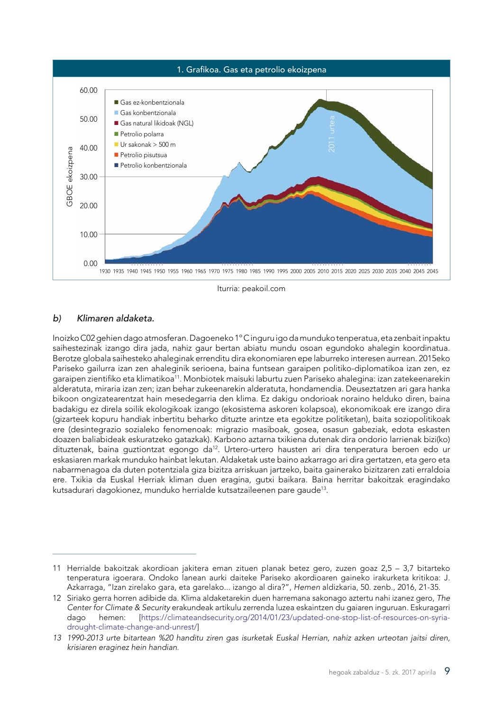

Iturria: peakoil.com

### *b) Klimaren aldaketa.*

Inoizko C02 gehien dago atmosferan. Dagoeneko 1º C inguru igo da munduko tenperatua, eta zenbait inpaktu saihestezinak izango dira jada, nahiz gaur bertan abiatu mundu osoan egundoko ahalegin koordinatua. Berotze globala saihesteko ahaleginak errenditu dira ekonomiaren epe laburreko interesen aurrean. 2015eko Pariseko gailurra izan zen ahaleginik serioena, baina funtsean garaipen politiko-diplomatikoa izan zen, ez garaipen zientifiko eta klimatikoa<sup>11</sup>. Monbiotek maisuki laburtu zuen Pariseko ahalegina: izan zatekeenarekin alderatuta, miraria izan zen; izan behar zukeenarekin alderatuta, hondamendia. Deuseztatzen ari gara hanka bikoon ongizatearentzat hain mesedegarria den klima. Ez dakigu ondorioak noraino helduko diren, baina badakigu ez direla soilik ekologikoak izango (ekosistema askoren kolapsoa), ekonomikoak ere izango dira (gizarteek kopuru handiak inbertitu beharko dituzte arintze eta egokitze politiketan), baita soziopolitikoak ere (desintegrazio sozialeko fenomenoak: migrazio masiboak, gosea, osasun gabeziak, edota eskasten doazen baliabideak eskuratzeko gatazkak). Karbono aztarna txikiena dutenak dira ondorio larrienak bizi(ko) dituztenak, baina guztiontzat egongo da<sup>12</sup>. Urtero-urtero hausten ari dira tenperatura beroen edo ur eskasiaren markak munduko hainbat lekutan. Aldaketak uste baino azkarrago ari dira gertatzen, eta gero eta nabarmenagoa da duten potentziala giza bizitza arriskuan jartzeko, baita gainerako bizitzaren zati erraldoia ere. Txikia da Euskal Herriak kliman duen eragina, gutxi baikara. Baina herritar bakoitzak eragindako kutsadurari dagokionez, munduko herrialde kutsatzaileenen pare gaude13.

<sup>11</sup> Herrialde bakoitzak akordioan jakitera eman zituen planak betez gero, zuzen goaz 2,5 – 3,7 bitarteko tenperatura igoerara. Ondoko lanean aurki daiteke Pariseko akordioaren gaineko irakurketa kritikoa: J. Azkarraga, "Izan zirelako gara, eta garelako... izango al dira?", *Hemen* aldizkaria, 50. zenb., 2016, 21-35.

<sup>12</sup> Siriako gerra horren adibide da. Klima aldaketarekin duen harremana sakonago aztertu nahi izanez gero, *The Center for Climate & Security* erakundeak artikulu zerrenda luzea eskaintzen du gaiaren inguruan. Eskuragarri dago hemen: [\[https://climateandsecurity.org/2014/01/23/updated-one-stop-list-of-resources-on-syria](https://climateandsecurity.org/2014/01/23/updated-one-stop-list-of-resources-on-syria-drought-climat)[drought-climate-change-and-unrest/](https://climateandsecurity.org/2014/01/23/updated-one-stop-list-of-resources-on-syria-drought-climat)]

*<sup>13</sup> 1990-2013 urte bitartean %20 handitu ziren gas isurketak Euskal Herrian, nahiz azken urteotan jaitsi diren, krisiaren eraginez hein handian.*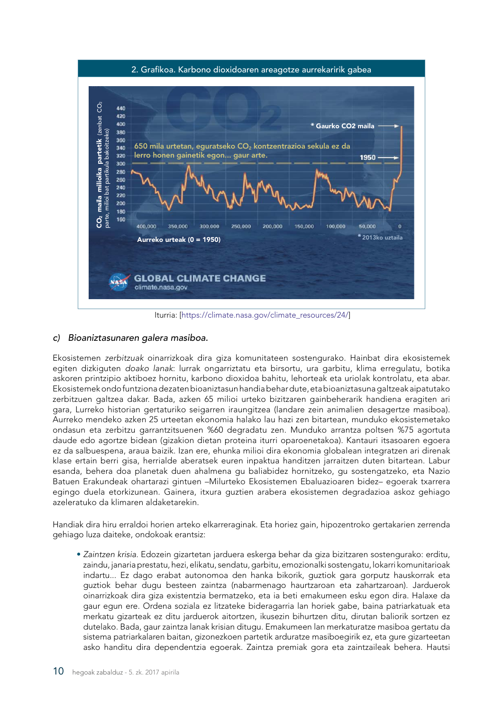

Iturria: [[https://climate.nasa.gov/climate\\_resources/24/](https://climate.nasa.gov/climate_resources/24/)]

#### *c) Bioaniztasunaren galera masiboa.*

Ekosistemen *zerbitzuak* oinarrizkoak dira giza komunitateen sostengurako. Hainbat dira ekosistemek egiten dizkiguten *doako lanak*: lurrak ongarriztatu eta birsortu, ura garbitu, klima erregulatu, botika askoren printzipio aktiboez hornitu, karbono dioxidoa bahitu, lehorteak eta uriolak kontrolatu, eta abar. Ekosistemek ondo funtziona dezaten bioaniztasun handia behar dute, eta bioaniztasuna galtzeak aipatutako zerbitzuen galtzea dakar. Bada, azken 65 milioi urteko bizitzaren gainbeherarik handiena eragiten ari gara, Lurreko historian gertaturiko seigarren iraungitzea (landare zein animalien desagertze masiboa). Aurreko mendeko azken 25 urteetan ekonomia halako lau hazi zen bitartean, munduko ekosistemetako ondasun eta zerbitzu garrantzitsuenen %60 degradatu zen. Munduko arrantza poltsen %75 agortuta daude edo agortze bidean (gizakion dietan proteina iturri oparoenetakoa). Kantauri itsasoaren egoera ez da salbuespena, araua baizik. Izan ere, ehunka milioi dira ekonomia globalean integratzen ari direnak klase ertain berri gisa, herrialde aberatsek euren inpaktua handitzen jarraitzen duten bitartean. Labur esanda, behera doa planetak duen ahalmena gu baliabidez hornitzeko, gu sostengatzeko, eta Nazio Batuen Erakundeak ohartarazi gintuen –Milurteko Ekosistemen Ebaluazioaren bidez– egoerak txarrera egingo duela etorkizunean. Gainera, itxura guztien arabera ekosistemen degradazioa askoz gehiago azeleratuko da klimaren aldaketarekin.

Handiak dira hiru erraldoi horien arteko elkarreraginak. Eta horiez gain, hipozentroko gertakarien zerrenda gehiago luza daiteke, ondokoak erantsiz:

• *Zaintzen krisia*. Edozein gizartetan jarduera eskerga behar da giza bizitzaren sostengurako: erditu, zaindu, janaria prestatu, hezi, elikatu, sendatu, garbitu, emozionalki sostengatu, lokarri komunitarioak indartu... Ez dago erabat autonomoa den hanka bikorik, guztiok gara gorputz hauskorrak eta guztiok behar dugu besteen zaintza (nabarmenago haurtzaroan eta zahartzaroan). Jarduerok oinarrizkoak dira giza existentzia bermatzeko, eta ia beti emakumeen esku egon dira. Halaxe da gaur egun ere. Ordena soziala ez litzateke bideragarria lan horiek gabe, baina patriarkatuak eta merkatu gizarteak ez ditu jarduerok aitortzen, ikusezin bihurtzen ditu, dirutan baliorik sortzen ez dutelako. Bada, gaur zaintza lanak krisian ditugu. Emakumeen lan merkaturatze masiboa gertatu da sistema patriarkalaren baitan, gizonezkoen partetik arduratze masiboegirik ez, eta gure gizarteetan asko handitu dira dependentzia egoerak. Zaintza premiak gora eta zaintzaileak behera. Hautsi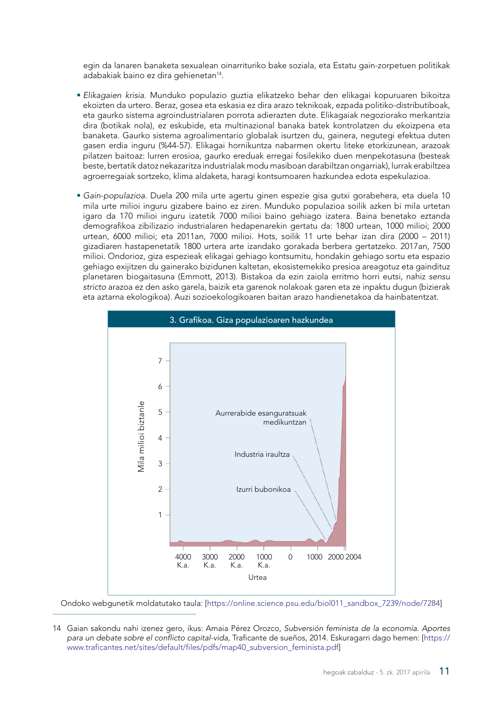egin da lanaren banaketa sexualean oinarrituriko bake soziala, eta Estatu gain-zorpetuen politikak adabakiak baino ez dira gehienetan<sup>14</sup>.

- *Elikagaien krisia*. Munduko populazio guztia elikatzeko behar den elikagai kopuruaren bikoitza ekoizten da urtero. Beraz, gosea eta eskasia ez dira arazo teknikoak, ezpada politiko-distributiboak, eta gaurko sistema agroindustrialaren porrota adierazten dute. Elikagaiak negoziorako merkantzia dira (botikak nola), ez eskubide, eta multinazional banaka batek kontrolatzen du ekoizpena eta banaketa. Gaurko sistema agroalimentario globalak isurtzen du, gainera, negutegi efektua duten gasen erdia inguru (%44-57). Elikagai hornikuntza nabarmen okertu liteke etorkizunean, arazoak pilatzen baitoaz: lurren erosioa, gaurko ereduak erregai fosilekiko duen menpekotasuna (besteak beste, bertatik datoz nekazaritza industrialak modu masiboan darabiltzan ongarriak), lurrak erabiltzea agroerregaiak sortzeko, klima aldaketa, haragi kontsumoaren hazkundea edota espekulazioa.
- *Gain-populazioa*. Duela 200 mila urte agertu ginen espezie gisa gutxi gorabehera, eta duela 10 mila urte milioi inguru gizabere baino ez ziren. Munduko populazioa soilik azken bi mila urtetan igaro da 170 milioi inguru izatetik 7000 milioi baino gehiago izatera. Baina benetako eztanda demografikoa zibilizazio industrialaren hedapenarekin gertatu da: 1800 urtean, 1000 milioi; 2000 urtean, 6000 milioi; eta 2011an, 7000 milioi. Hots, soilik 11 urte behar izan dira (2000 – 2011) gizadiaren hastapenetatik 1800 urtera arte izandako gorakada berbera gertatzeko. 2017an, 7500 milioi. Ondorioz, giza espezieak elikagai gehiago kontsumitu, hondakin gehiago sortu eta espazio gehiago exijitzen du gainerako bizidunen kaltetan, ekosistemekiko presioa areagotuz eta gaindituz planetaren biogaitasuna (Emmott, 2013). Bistakoa da ezin zaiola erritmo horri eutsi, nahiz *sensu stricto* arazoa ez den asko garela, baizik eta garenok nolakoak garen eta ze inpaktu dugun (bizierak eta aztarna ekologikoa). Auzi sozioekologikoaren baitan arazo handienetakoa da hainbatentzat.



Ondoko webgunetik moldatutako taula: [\[https://online.science.psu.edu/biol011\\_sandbox\\_7239/node/7284](https://online.science.psu.edu/biol011_sandbox_7239/node/7284)]

<sup>14</sup> Gaian sakondu nahi izenez gero, ikus: Amaia Pérez Orozco, *Subversión feminista de la economía. Aportes para un debate sobre el conflicto capital-vida,* Traficante de sueños, 2014. Eskuragarri dago hemen: [[https://](https://www.traficantes.net/sites/default/files/pdfs/map40_subversion_feminista.pdf) [www.traficantes.net/sites/default/files/pdfs/map40\\_subversion\\_feminista.pdf](https://www.traficantes.net/sites/default/files/pdfs/map40_subversion_feminista.pdf)]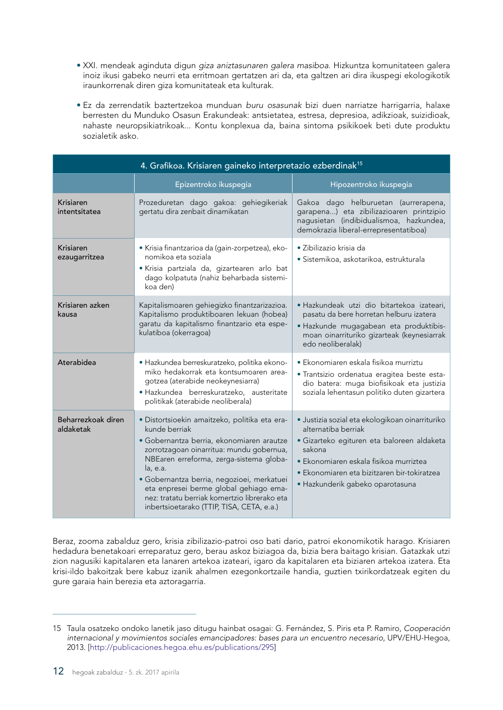- XXI. mendeak aginduta digun *giza aniztasunaren galera masiboa*. Hizkuntza komunitateen galera inoiz ikusi gabeko neurri eta erritmoan gertatzen ari da, eta galtzen ari dira ikuspegi ekologikotik iraunkorrenak diren giza komunitateak eta kulturak.
- Ez da zerrendatik baztertzekoa munduan *buru osasunak* bizi duen narriatze harrigarria, halaxe berresten du Munduko Osasun Erakundeak: antsietatea, estresa, depresioa, adikzioak, suizidioak, nahaste neuropsikiatrikoak... Kontu konplexua da, baina sintoma psikikoek beti dute produktu sozialetik asko.

| 4. Grafikoa. Krisiaren gaineko interpretazio ezberdinak <sup>15</sup> |                                                                                                                                                                                                                                                                                                                                                                                                     |                                                                                                                                                                                                                                                             |  |  |  |
|-----------------------------------------------------------------------|-----------------------------------------------------------------------------------------------------------------------------------------------------------------------------------------------------------------------------------------------------------------------------------------------------------------------------------------------------------------------------------------------------|-------------------------------------------------------------------------------------------------------------------------------------------------------------------------------------------------------------------------------------------------------------|--|--|--|
|                                                                       | Epizentroko ikuspegia                                                                                                                                                                                                                                                                                                                                                                               | Hipozentroko ikuspegia                                                                                                                                                                                                                                      |  |  |  |
| Krisiaren<br>intentsitatea                                            | Prozeduretan dago gakoa: gehiegikeriak<br>gertatu dira zenbait dinamikatan                                                                                                                                                                                                                                                                                                                          | Gakoa dago helburuetan (aurrerapena,<br>garapena) eta zibilizazioaren printzipio<br>nagusietan (indibidualismoa, hazkundea,<br>demokrazia liberal-errepresentatiboa)                                                                                        |  |  |  |
| Krisiaren<br>ezaugarritzea                                            | · Krisia finantzarioa da (gain-zorpetzea), eko-<br>nomikoa eta soziala<br>· Krisia partziala da, gizartearen arlo bat<br>dago kolpatuta (nahiz beharbada sistemi-<br>koa den)                                                                                                                                                                                                                       | · Zibilizazio krisia da<br>· Sistemikoa, askotarikoa, estrukturala                                                                                                                                                                                          |  |  |  |
| Krisiaren azken<br>kausa                                              | Kapitalismoaren gehiegizko finantzarizazioa.<br>Kapitalismo produktiboaren lekuan (hobea)<br>garatu da kapitalismo finantzario eta espe-<br>kulatiboa (okerragoa)                                                                                                                                                                                                                                   | · Hazkundeak utzi dio bitartekoa izateari,<br>pasatu da bere horretan helburu izatera<br>· Hazkunde mugagabean eta produktibis-<br>moan oinarrituriko gizarteak (keynesiarrak<br>edo neoliberalak)                                                          |  |  |  |
| Aterabidea                                                            | · Hazkundea berreskuratzeko, politika ekono-<br>miko hedakorrak eta kontsumoaren area-<br>gotzea (aterabide neokeynesiarra)<br>· Hazkundea berreskuratzeko, austeritate<br>politikak (aterabide neoliberala)                                                                                                                                                                                        | • Ekonomiaren eskala fisikoa murriztu<br>· Trantsizio ordenatua eragitea beste esta-<br>dio batera: muga biofisikoak eta justizia<br>soziala lehentasun politiko duten gizartera                                                                            |  |  |  |
| Beharrezkoak diren<br>aldaketak                                       | · Distortsioekin amaitzeko, politika eta era-<br>kunde berriak<br>· Gobernantza berria, ekonomiaren arautze<br>zorrotzagoan oinarritua: mundu gobernua,<br>NBEaren erreforma, zerga-sistema globa-<br>la, e.a.<br>· Gobernantza berria, negozioei, merkatuei<br>eta enpresei berme global gehiago ema-<br>nez: tratatu berriak komertzio librerako eta<br>inbertsioetarako (TTIP, TISA, CETA, e.a.) | · Justizia sozial eta ekologikoan oinarrituriko<br>alternatiba berriak<br>· Gizarteko egituren eta baloreen aldaketa<br>sakona<br>· Ekonomiaren eskala fisikoa murriztea<br>• Ekonomiaren eta bizitzaren bir-tokiratzea<br>· Hazkunderik gabeko oparotasuna |  |  |  |

Beraz, zooma zabalduz gero, krisia zibilizazio-patroi oso bati dario, patroi ekonomikotik harago. Krisiaren hedadura benetakoari erreparatuz gero, berau askoz biziagoa da, bizia bera baitago krisian. Gatazkak utzi zion nagusiki kapitalaren eta lanaren artekoa izateari, igaro da kapitalaren eta biziaren artekoa izatera. Eta krisi-ildo bakoitzak bere kabuz izanik ahalmen ezegonkortzaile handia, guztien txirikordatzeak egiten du gure garaia hain berezia eta aztoragarria.

<sup>15</sup> Taula osatzeko ondoko lanetik jaso ditugu hainbat osagai: G. Fernández, S. Piris eta P. Ramiro, *Cooperación internacional y movimientos sociales emancipadores: bases para un encuentro necesario*, UPV/EHU-Hegoa, 2013. [<http://publicaciones.hegoa.ehu.es/publications/295>]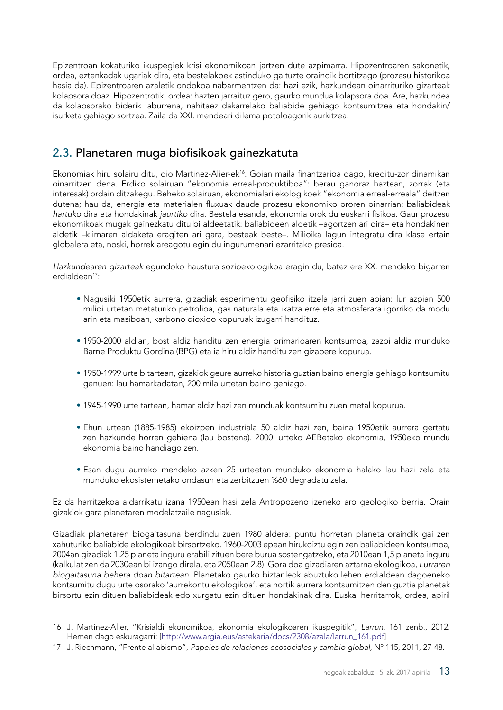<span id="page-14-0"></span>Epizentroan kokaturiko ikuspegiek krisi ekonomikoan jartzen dute azpimarra. Hipozentroaren sakonetik, ordea, eztenkadak ugariak dira, eta bestelakoek astinduko gaituzte oraindik bortitzago (prozesu historikoa hasia da). Epizentroaren azaletik ondokoa nabarmentzen da: hazi ezik, hazkundean oinarrituriko gizarteak kolapsora doaz. Hipozentrotik, ordea: hazten jarraituz gero, gaurko mundua kolapsora doa. Are, hazkundea da kolapsorako biderik laburrena, nahitaez dakarrelako baliabide gehiago kontsumitzea eta hondakin/ isurketa gehiago sortzea. Zaila da XXI. mendeari dilema potoloagorik aurkitzea.

### 2.3. Planetaren muga biofisikoak gainezkatuta

Ekonomiak hiru solairu ditu, dio Martinez-Alier-ek<sup>16</sup>. Goian maila finantzarioa dago, kreditu-zor dinamikan oinarritzen dena. Erdiko solairuan "ekonomia erreal-produktiboa": berau ganoraz haztean, zorrak (eta interesak) ordain ditzakegu. Beheko solairuan, ekonomialari ekologikoek "ekonomia erreal-erreala" deitzen dutena; hau da, energia eta materialen fluxuak daude prozesu ekonomiko ororen oinarrian: baliabideak *hartuko* dira eta hondakinak *jaurtiko* dira. Bestela esanda, ekonomia orok du euskarri fisikoa. Gaur prozesu ekonomikoak mugak gainezkatu ditu bi aldeetatik: baliabideen aldetik –agortzen ari dira– eta hondakinen aldetik –klimaren aldaketa eragiten ari gara, besteak beste–. Milioika lagun integratu dira klase ertain globalera eta, noski, horrek areagotu egin du ingurumenari ezarritako presioa.

*Hazkundearen gizarteak* egundoko haustura sozioekologikoa eragin du, batez ere XX. mendeko bigarren erdialdean<sup>17</sup>:

- Nagusiki 1950etik aurrera, gizadiak esperimentu geofisiko itzela jarri zuen abian: lur azpian 500 milioi urtetan metaturiko petrolioa, gas naturala eta ikatza erre eta atmosferara igorriko da modu arin eta masiboan, karbono dioxido kopuruak izugarri handituz.
- 1950-2000 aldian, bost aldiz handitu zen energia primarioaren kontsumoa, zazpi aldiz munduko Barne Produktu Gordina (BPG) eta ia hiru aldiz handitu zen gizabere kopurua.
- 1950-1999 urte bitartean, gizakiok geure aurreko historia guztian baino energia gehiago kontsumitu genuen: lau hamarkadatan, 200 mila urtetan baino gehiago.
- 1945-1990 urte tartean, hamar aldiz hazi zen munduak kontsumitu zuen metal kopurua.
- Ehun urtean (1885-1985) ekoizpen industriala 50 aldiz hazi zen, baina 1950etik aurrera gertatu zen hazkunde horren gehiena (lau bostena). 2000. urteko AEBetako ekonomia, 1950eko mundu ekonomia baino handiago zen.
- Esan dugu aurreko mendeko azken 25 urteetan munduko ekonomia halako lau hazi zela eta munduko ekosistemetako ondasun eta zerbitzuen %60 degradatu zela.

Ez da harritzekoa aldarrikatu izana 1950ean hasi zela Antropozeno izeneko aro geologiko berria. Orain gizakiok gara planetaren modelatzaile nagusiak.

Gizadiak planetaren biogaitasuna berdindu zuen 1980 aldera: puntu horretan planeta oraindik gai zen xahuturiko baliabide ekologikoak birsortzeko. 1960-2003 epean hirukoiztu egin zen baliabideen kontsumoa, 2004an gizadiak 1,25 planeta inguru erabili zituen bere burua sostengatzeko, eta 2010ean 1,5 planeta inguru (kalkulat zen da 2030ean bi izango direla, eta 2050ean 2,8). Gora doa gizadiaren aztarna ekologikoa, *Lurraren biogaitasuna behera doan bitartean*. Planetako gaurko biztanleok abuztuko lehen erdialdean dagoeneko kontsumitu dugu urte osorako 'aurrekontu ekologikoa', eta hortik aurrera kontsumitzen den guztia planetak birsortu ezin dituen baliabideak edo xurgatu ezin dituen hondakinak dira. Euskal herritarrok, ordea, apiril

<sup>16</sup> J. Martinez-Alier, "Krisialdi ekonomikoa, ekonomia ekologikoaren ikuspegitik", *Larrun,* 161 zenb., 2012. Hemen dago eskuragarri: [\[http://www.argia.eus/astekaria/docs/2308/azala/larrun\\_161.pdf](http://www.argia.eus/astekaria/docs/2308/azala/larrun_161.pdf)]

<sup>17</sup> J. Riechmann, "Frente al abismo", *Papeles de relaciones ecosociales y cambio global,* Nº 115, 2011, 27-48.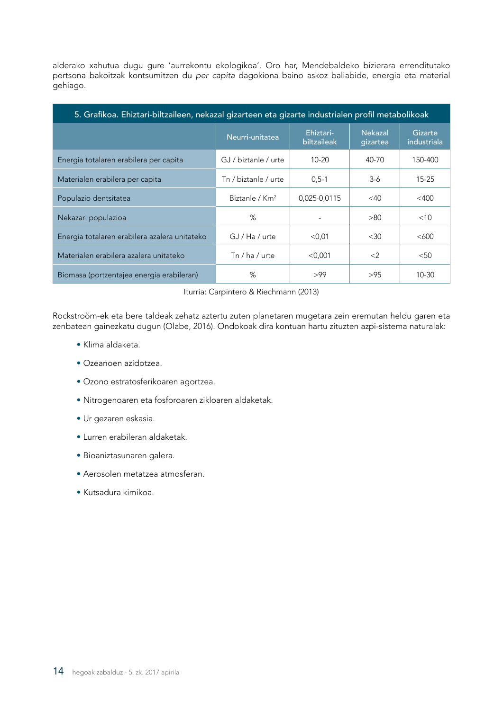alderako xahutua dugu gure 'aurrekontu ekologikoa'. Oro har, Mendebaldeko bizierara errenditutako pertsona bakoitzak kontsumitzen du *per capita* dagokiona baino askoz baliabide, energia eta material gehiago.

| 5. Grafikoa. Ehiztari-biltzaileen, nekazal gizarteen eta gizarte industrialen profil metabolikoak |                            |                          |                            |                        |  |  |
|---------------------------------------------------------------------------------------------------|----------------------------|--------------------------|----------------------------|------------------------|--|--|
|                                                                                                   | Neurri-unitatea            | Ehiztari-<br>biltzaileak | <b>Nekazal</b><br>gizartea | Gizarte<br>industriala |  |  |
| Energia totalaren erabilera per capita                                                            | GJ / biztanle / urte       | $10 - 20$                | 40-70                      | 150-400                |  |  |
| Materialen erabilera per capita                                                                   | Tn / biztanle / urte       | $0.5 - 1$                | $3-6$                      | $15 - 25$              |  |  |
| Populazio dentsitatea                                                                             | Biztanle / Km <sup>2</sup> | 0,025-0,0115             | $<$ 40                     | $<$ 400                |  |  |
| Nekazari populazioa                                                                               | %                          |                          | >80                        | $<$ 10                 |  |  |
| Energia totalaren erabilera azalera unitateko                                                     | $GJ/Ha$ / urte             | $<$ 0,01                 | <30                        | <600                   |  |  |
| Materialen erabilera azalera unitateko                                                            | Tn / ha / urte             | $<$ 0,001                | $\langle 2 \rangle$        | $50$                   |  |  |
| Biomasa (portzentajea energia erabileran)                                                         | %                          | >99                      | >95                        | 10-30                  |  |  |

Iturria: Carpintero & Riechmann (2013)

Rockstroöm-ek eta bere taldeak zehatz aztertu zuten planetaren mugetara zein eremutan heldu garen eta zenbatean gainezkatu dugun (Olabe, 2016). Ondokoak dira kontuan hartu zituzten azpi-sistema naturalak:

- Klima aldaketa.
- Ozeanoen azidotzea.
- Ozono estratosferikoaren agortzea.
- Nitrogenoaren eta fosforoaren zikloaren aldaketak.
- Ur gezaren eskasia.
- Lurren erabileran aldaketak.
- Bioaniztasunaren galera.
- Aerosolen metatzea atmosferan.
- Kutsadura kimikoa.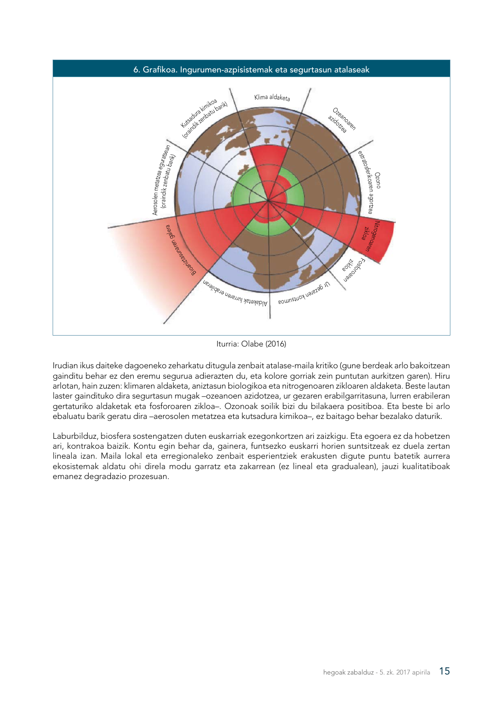

Iturria: Olabe (2016)

Irudian ikus daiteke dagoeneko zeharkatu ditugula zenbait atalase-maila kritiko (gune berdeak arlo bakoitzean gainditu behar ez den eremu segurua adierazten du, eta kolore gorriak zein puntutan aurkitzen garen). Hiru arlotan, hain zuzen: klimaren aldaketa, aniztasun biologikoa eta nitrogenoaren zikloaren aldaketa. Beste lautan laster gaindituko dira segurtasun mugak –ozeanoen azidotzea, ur gezaren erabilgarritasuna, lurren erabileran gertaturiko aldaketak eta fosforoaren zikloa–. Ozonoak soilik bizi du bilakaera positiboa. Eta beste bi arlo ebaluatu barik geratu dira –aerosolen metatzea eta kutsadura kimikoa–, ez baitago behar bezalako daturik.

Laburbilduz, biosfera sostengatzen duten euskarriak ezegonkortzen ari zaizkigu. Eta egoera ez da hobetzen ari, kontrakoa baizik. Kontu egin behar da, gainera, funtsezko euskarri horien suntsitzeak ez duela zertan lineala izan. Maila lokal eta erregionaleko zenbait esperientziek erakusten digute puntu batetik aurrera ekosistemak aldatu ohi direla modu garratz eta zakarrean (ez lineal eta gradualean), jauzi kualitatiboak emanez degradazio prozesuan.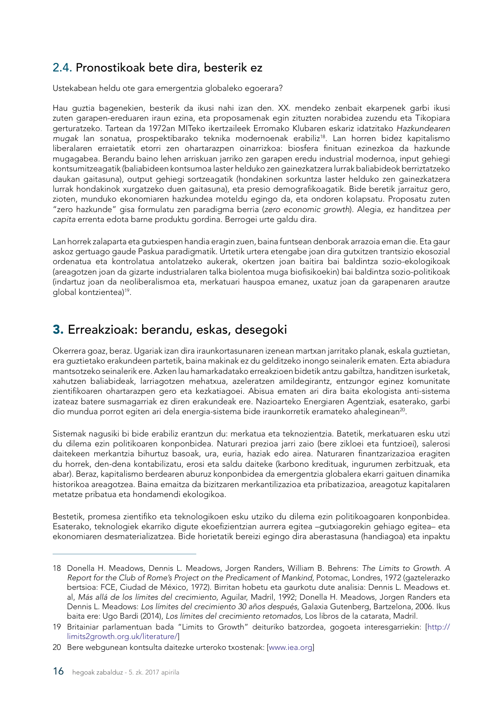### <span id="page-17-0"></span>2.4. Pronostikoak bete dira, besterik ez

Ustekabean heldu ote gara emergentzia globaleko egoerara?

Hau guztia bagenekien, besterik da ikusi nahi izan den. XX. mendeko zenbait ekarpenek garbi ikusi zuten garapen-ereduaren iraun ezina, eta proposamenak egin zituzten norabidea zuzendu eta Tikopiara gerturatzeko. Tartean da 1972an MITeko ikertzaileek Erromako Klubaren eskariz idatzitako *Hazkundearen mugak* lan sonatua, prospektibarako teknika modernoenak erabiliz18. Lan horren bidez kapitalismo liberalaren erraietatik etorri zen ohartarazpen oinarrizkoa: biosfera finituan ezinezkoa da hazkunde mugagabea. Berandu baino lehen arriskuan jarriko zen garapen eredu industrial modernoa, input gehiegi kontsumitzeagatik (baliabideen kontsumoa laster helduko zen gainezkatzera lurrak baliabideok berriztatzeko daukan gaitasuna), output gehiegi sortzeagatik (hondakinen sorkuntza laster helduko zen gainezkatzera lurrak hondakinok xurgatzeko duen gaitasuna), eta presio demografikoagatik. Bide beretik jarraituz gero, zioten, munduko ekonomiaren hazkundea moteldu egingo da, eta ondoren kolapsatu. Proposatu zuten "zero hazkunde" gisa formulatu zen paradigma berria (*zero economic growth*). Alegia, ez handitzea *per capita* errenta edota barne produktu gordina. Berrogei urte galdu dira.

Lan horrek zalaparta eta gutxiespen handia eragin zuen, baina funtsean denborak arrazoia eman die. Eta gaur askoz gertuago gaude Paskua paradigmatik. Urtetik urtera etengabe joan dira gutxitzen trantsizio ekosozial ordenatua eta kontrolatua antolatzeko aukerak, okertzen joan baitira bai baldintza sozio-ekologikoak (areagotzen joan da gizarte industrialaren talka biolentoa muga biofisikoekin) bai baldintza sozio-politikoak (indartuz joan da neoliberalismoa eta, merkatuari hauspoa emanez, uxatuz joan da garapenaren arautze global kontzientea)<sup>19</sup>.

# 3. Erreakzioak: berandu, eskas, desegoki

Okerrera goaz, beraz. Ugariak izan dira iraunkortasunaren izenean martxan jarritako planak, eskala guztietan, era guztietako erakundeen partetik, baina makinak ez du gelditzeko inongo seinalerik ematen. Ezta abiadura mantsotzeko seinalerik ere. Azken lau hamarkadatako erreakzioen bidetik antzu gabiltza, handitzen isurketak, xahutzen baliabideak, larriagotzen mehatxua, azeleratzen amildegirantz, entzungor eginez komunitate zientifikoaren ohartarazpen gero eta kezkatiagoei. Abisua ematen ari dira baita ekologista anti-sistema izateaz batere susmagarriak ez diren erakundeak ere. Nazioarteko Energiaren Agentziak, esaterako, garbi dio mundua porrot egiten ari dela energia-sistema bide iraunkorretik eramateko ahaleginean<sup>20</sup>.

Sistemak nagusiki bi bide erabiliz erantzun du: merkatua eta teknozientzia. Batetik, merkatuaren esku utzi du dilema ezin politikoaren konponbidea. Naturari prezioa jarri zaio (bere zikloei eta funtzioei), salerosi daitekeen merkantzia bihurtuz basoak, ura, euria, haziak edo airea. Naturaren finantzarizazioa eragiten du horrek, den-dena kontabilizatu, erosi eta saldu daiteke (karbono kredituak, ingurumen zerbitzuak, eta abar). Beraz, kapitalismo berdearen aburuz konponbidea da emergentzia globalera ekarri gaituen dinamika historikoa areagotzea. Baina emaitza da bizitzaren merkantilizazioa eta pribatizazioa, areagotuz kapitalaren metatze pribatua eta hondamendi ekologikoa.

Bestetik, promesa zientifiko eta teknologikoen esku utziko du dilema ezin politikoagoaren konponbidea. Esaterako, teknologiek ekarriko digute ekoefizientzian aurrera egitea –gutxiagorekin gehiago egitea– eta ekonomiaren desmaterializatzea. Bide horietatik bereizi egingo dira aberastasuna (handiagoa) eta inpaktu

<sup>18</sup> Donella H. Meadows, Dennis L. Meadows, Jorgen Randers, William B. Behrens: *The Limits to Growth. A Report for the Club of Rome's Project on the Predicament of Mankind,* Potomac, Londres, 1972 (gaztelerazko bertsioa: FCE, Ciudad de México, 1972). Birritan hobetu eta gaurkotu dute analisia: Dennis L. Meadows et. al, *Más allá de los límites del crecimiento,* Aguilar, Madril, 1992; Donella H. Meadows, Jorgen Randers eta Dennis L. Meadows: *Los límites del crecimiento 30 años después,* Galaxia Gutenberg, Bartzelona, 2006. Ikus baita ere: Ugo Bardi (2014), *Los límites del crecimiento retomados,* Los libros de la catarata, Madril.

<sup>19</sup> Britainiar parlamentuan bada "Limits to Growth" deituriko batzordea, gogoeta interesgarriekin: [[http://](http://limits2growth.org.uk/literature/) [limits2growth.org.uk/literature/](http://limits2growth.org.uk/literature/)]

<sup>20</sup> Bere webgunean kontsulta daitezke urteroko txostenak: [[www.iea.org\]](http://www.iea.org)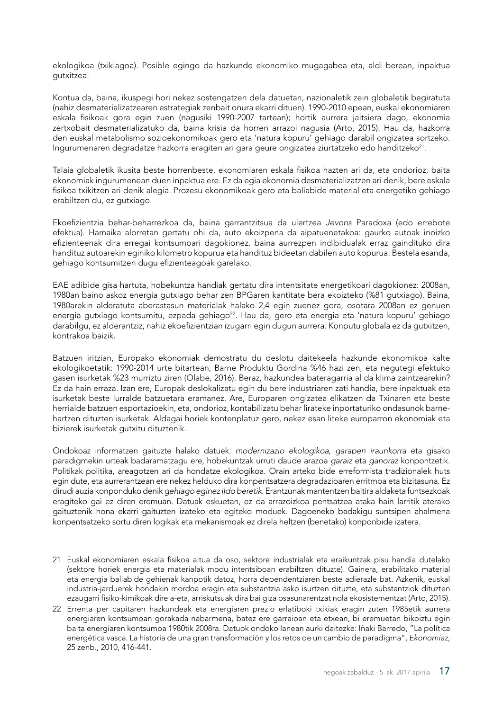ekologikoa (txikiagoa). Posible egingo da hazkunde ekonomiko mugagabea eta, aldi berean, inpaktua gutxitzea.

Kontua da, baina, ikuspegi hori nekez sostengatzen dela datuetan, nazionaletik zein globaletik begiratuta (nahiz desmaterializatzearen estrategiak zenbait onura ekarri dituen). 1990-2010 epean, euskal ekonomiaren eskala fisikoak gora egin zuen (nagusiki 1990-2007 tartean); hortik aurrera jaitsiera dago, ekonomia zertxobait desmaterializatuko da, baina krisia da horren arrazoi nagusia (Arto, 2015). Hau da, hazkorra den euskal metabolismo sozioekonomikoak gero eta 'natura kopuru' gehiago darabil ongizatea sortzeko. Ingurumenaren degradatze hazkorra eragiten ari gara geure ongizatea ziurtatzeko edo handitzeko<sup>21</sup>.

Talaia globaletik ikusita beste horrenbeste, ekonomiaren eskala fisikoa hazten ari da, eta ondorioz, baita ekonomiak ingurumenean duen inpaktua ere. Ez da egia ekonomia desmaterializatzen ari denik, bere eskala fisikoa txikitzen ari denik alegia. Prozesu ekonomikoak gero eta baliabide material eta energetiko gehiago erabiltzen du, ez gutxiago.

Ekoefizientzia behar-beharrezkoa da, baina garrantzitsua da ulertzea *Jevons* Paradoxa (edo errebote efektua). Hamaika alorretan gertatu ohi da, auto ekoizpena da aipatuenetakoa: gaurko autoak inoizko efizienteenak dira erregai kontsumoari dagokionez, baina aurrezpen indibidualak erraz gaindituko dira handituz autoarekin eginiko kilometro kopurua eta handituz bideetan dabilen auto kopurua. Bestela esanda, gehiago kontsumitzen dugu efizienteagoak garelako.

EAE adibide gisa hartuta, hobekuntza handiak gertatu dira intentsitate energetikoari dagokionez: 2008an, 1980an baino askoz energia gutxiago behar zen BPGaren kantitate bera ekoizteko (%81 gutxiago). Baina, 1980arekin alderatuta aberastasun materialak halako 2,4 egin zuenez gora, osotara 2008an ez genuen energia gutxiago kontsumitu, ezpada gehiago<sup>22</sup>. Hau da, gero eta energia eta 'natura kopuru' gehiago darabilgu, ez alderantziz, nahiz ekoefizientzian izugarri egin dugun aurrera. Konputu globala ez da gutxitzen, kontrakoa baizik.

Batzuen iritzian, Europako ekonomiak demostratu du deslotu daitekeela hazkunde ekonomikoa kalte ekologikoetatik: 1990-2014 urte bitartean, Barne Produktu Gordina %46 hazi zen, eta negutegi efektuko gasen isurketak %23 murriztu ziren (Olabe, 2016). Beraz, hazkundea bateragarria al da klima zaintzearekin? Ez da hain erraza. Izan ere, Europak deslokalizatu egin du bere industriaren zati handia, bere inpaktuak eta isurketak beste lurralde batzuetara eramanez. Are, Europaren ongizatea elikatzen da Txinaren eta beste herrialde batzuen esportazioekin, eta, ondorioz, kontabilizatu behar lirateke inportaturiko ondasunok barnehartzen dituzten isurketak. Aldagai horiek kontenplatuz gero, nekez esan liteke europarron ekonomiak eta bizierek isurketak gutxitu dituztenik.

Ondokoaz informatzen gaituzte halako datuek: *modernizazio ekologikoa, garapen iraunkorra* eta gisako paradigmekin urteak badaramatzagu ere, hobekuntzak urruti daude arazoa *garaiz* eta *ganoraz* konpontzetik. Politikak politika, areagotzen ari da hondatze ekologikoa. Orain arteko bide erreformista tradizionalek huts egin dute, eta aurrerantzean ere nekez helduko dira konpentsatzera degradazioaren erritmoa eta bizitasuna. Ez dirudi auzia konponduko denik *gehiago eginez ildo beretik*. Erantzunak mantentzen baitira aldaketa funtsezkoak eragiteko gai ez diren eremuan. Datuak eskuetan, ez da arrazoizkoa pentsatzea ataka hain larritik aterako gaituztenik hona ekarri gaituzten izateko eta egiteko moduek. Dagoeneko badakigu suntsipen ahalmena konpentsatzeko sortu diren logikak eta mekanismoak ez direla heltzen (benetako) konponbide izatera.

<sup>21</sup> Euskal ekonomiaren eskala fisikoa altua da oso, sektore industrialak eta eraikuntzak pisu handia dutelako (sektore horiek energia eta materialak modu intentsiboan erabiltzen dituzte). Gainera, erabilitako material eta energia baliabide gehienak kanpotik datoz, horra dependentziaren beste adierazle bat. Azkenik, euskal industria-jarduerek hondakin mordoa eragin eta substantzia asko isurtzen dituzte, eta substantziok dituzten ezaugarri fisiko-kimikoak direla-eta, arriskutsuak dira bai giza osasunarentzat nola ekosistementzat (Arto, 2015).

<sup>22</sup> Errenta per capitaren hazkundeak eta energiaren prezio erlatiboki txikiak eragin zuten 1985etik aurrera energiaren kontsumoan gorakada nabarmena, batez ere garraioan eta etxean, bi eremuetan bikoiztu egin baita energiaren kontsumoa 1980tik 2008ra. Datuok ondoko lanean aurki daitezke: Iñaki Barredo, "La política energética vasca. La historia de una gran transformación y los retos de un cambio de paradigma", *Ekonomiaz*, 25 zenb., 2010, 416-441.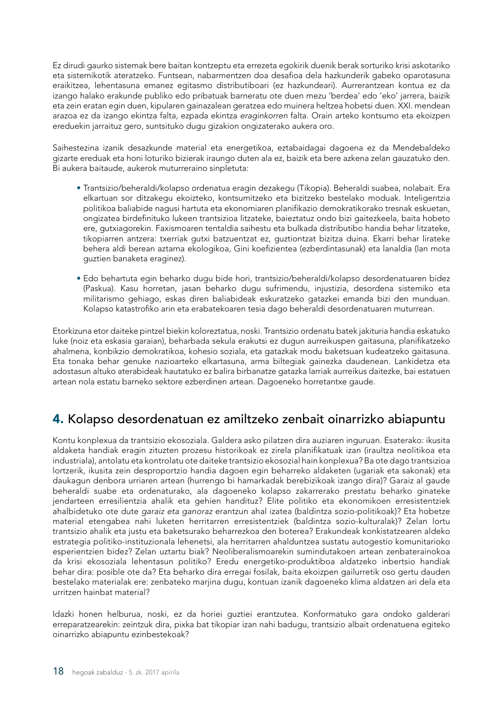<span id="page-19-0"></span>Ez dirudi gaurko sistemak bere baitan kontzeptu eta errezeta egokirik duenik berak sorturiko krisi askotariko eta sistemikotik ateratzeko. Funtsean, nabarmentzen doa desafioa dela hazkunderik gabeko oparotasuna eraikitzea, lehentasuna emanez egitasmo distributiboari (ez hazkundeari). Aurrerantzean kontua ez da izango halako erakunde publiko edo pribatuak barneratu ote duen mezu 'berdea' edo 'eko' jarrera, baizik eta zein eratan egin duen, kipularen gainazalean geratzea edo muinera heltzea hobetsi duen. XXI. mendean arazoa ez da izango ekintza falta, ezpada ekintza *eraginkorren* falta. Orain arteko kontsumo eta ekoizpen ereduekin jarraituz gero, suntsituko dugu gizakion ongizaterako aukera oro.

Saihestezina izanik desazkunde material eta energetikoa, eztabaidagai dagoena ez da Mendebaldeko gizarte ereduak eta honi loturiko bizierak iraungo duten ala ez, baizik eta bere azkena zelan gauzatuko den. Bi aukera baitaude, aukerok muturreraino sinpletuta:

- Trantsizio/beheraldi/kolapso ordenatua eragin dezakegu (Tikopia). Beheraldi suabea, nolabait. Era elkartuan sor ditzakegu ekoizteko, kontsumitzeko eta bizitzeko bestelako moduak. Inteligentzia politikoa baliabide nagusi hartuta eta ekonomiaren planifikazio demokratikorako tresnak eskuetan, ongizatea birdefinituko lukeen trantsizioa litzateke, baieztatuz ondo bizi gaitezkeela, baita hobeto ere, gutxiagorekin. Faxismoaren tentaldia saihestu eta bulkada distributibo handia behar litzateke, tikopiarren antzera: txerriak gutxi batzuentzat ez, guztiontzat bizitza duina. Ekarri behar lirateke behera aldi berean aztarna ekologikoa, Gini koefizientea (ezberdintasunak) eta lanaldia (lan mota guztien banaketa eraginez).
- Edo behartuta egin beharko dugu bide hori, trantsizio/beheraldi/kolapso desordenatuaren bidez (Paskua). Kasu horretan, jasan beharko dugu sufrimendu, injustizia, desordena sistemiko eta militarismo gehiago, eskas diren baliabideak eskuratzeko gatazkei emanda bizi den munduan. Kolapso katastrofiko arin eta erabatekoaren tesia dago beheraldi desordenatuaren muturrean.

Etorkizuna etor daiteke pintzel biekin koloreztatua, noski. Trantsizio ordenatu batek jakituria handia eskatuko luke (noiz eta eskasia garaian), beharbada sekula erakutsi ez dugun aurreikuspen gaitasuna, planifikatzeko ahalmena, konbikzio demokratikoa, kohesio soziala, eta gatazkak modu baketsuan kudeatzeko gaitasuna. Eta tonaka behar genuke nazioarteko elkartasuna, arma biltegiak gainezka daudenean. Lankidetza eta adostasun altuko aterabideak hautatuko ez balira birbanatze gatazka larriak aurreikus daitezke, bai estatuen artean nola estatu barneko sektore ezberdinen artean. Dagoeneko horretantxe gaude.

# 4. Kolapso desordenatuan ez amiltzeko zenbait oinarrizko abiapuntu

Kontu konplexua da trantsizio ekosoziala. Galdera asko pilatzen dira auziaren inguruan. Esaterako: ikusita aldaketa handiak eragin zituzten prozesu historikoak ez zirela planifikatuak izan (iraultza neolitikoa eta industriala), antolatu eta kontrolatu ote daiteke trantsizio ekosozial hain konplexua? Ba ote dago trantsizioa lortzerik, ikusita zein desproportzio handia dagoen egin beharreko aldaketen (ugariak eta sakonak) eta daukagun denbora urriaren artean (hurrengo bi hamarkadak berebizikoak izango dira)? Garaiz al gaude beheraldi suabe eta ordenaturako, ala dagoeneko kolapso zakarrerako prestatu beharko ginateke jendarteen erresilientzia ahalik eta gehien handituz? Elite politiko eta ekonomikoen erresistentziek ahalbidetuko ote dute *garaiz eta ganoraz* erantzun ahal izatea (baldintza sozio-politikoak)? Eta hobetze material etengabea nahi luketen herritarren erresistentziek (baldintza sozio-kulturalak)? Zelan lortu trantsizio ahalik eta justu eta baketsurako beharrezkoa den boterea? Erakundeak konkistatzearen aldeko estrategia politiko-instituzionala lehenetsi, ala herritarren ahalduntzea sustatu autogestio komunitarioko esperientzien bidez? Zelan uztartu biak? Neoliberalismoarekin sumindutakoen artean zenbaterainokoa da krisi ekosoziala lehentasun politiko? Eredu energetiko-produktiboa aldatzeko inbertsio handiak behar dira: posible ote da? Eta beharko dira erregai fosilak, baita ekoizpen gailurretik oso gertu dauden bestelako materialak ere: zenbateko marjina dugu, kontuan izanik dagoeneko klima aldatzen ari dela eta urritzen hainbat material?

Idazki honen helburua, noski, ez da horiei guztiei erantzutea. Konformatuko gara ondoko galderari erreparatzearekin: zeintzuk dira, pixka bat tikopiar izan nahi badugu, trantsizio albait ordenatuena egiteko oinarrizko abiapuntu ezinbestekoak?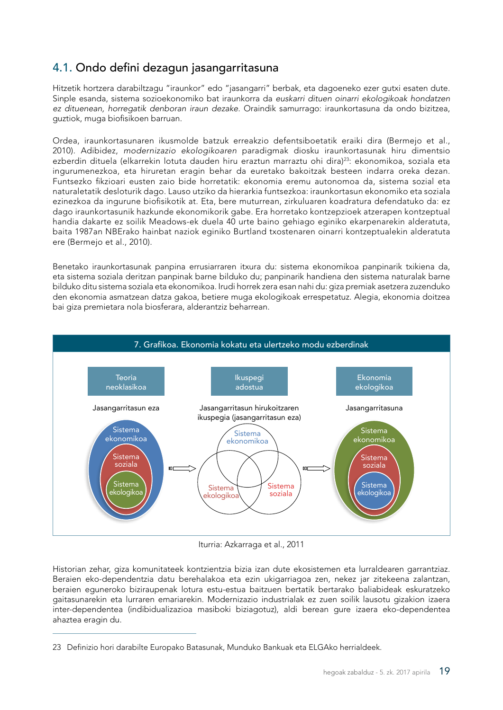## <span id="page-20-0"></span>4.1. Ondo defini dezagun jasangarritasuna

Hitzetik hortzera darabiltzagu "iraunkor" edo "jasangarri" berbak, eta dagoeneko ezer gutxi esaten dute. Sinple esanda, sistema sozioekonomiko bat iraunkorra da *euskarri dituen oinarri ekologikoak hondatzen ez dituenean, horregatik denboran iraun dezake*. Oraindik samurrago: iraunkortasuna da ondo bizitzea, guztiok, muga biofisikoen barruan.

Ordea, iraunkortasunaren ikusmolde batzuk erreakzio defentsiboetatik eraiki dira (Bermejo et al., 2010). Adibidez, *modernizazio ekologikoaren* paradigmak diosku iraunkortasunak hiru dimentsio ezberdin dituela (elkarrekin lotuta dauden hiru eraztun marraztu ohi dira)<sup>23</sup>: ekonomikoa, soziala eta ingurumenezkoa, eta hiruretan eragin behar da euretako bakoitzak besteen indarra oreka dezan. Funtsezko fikzioari eusten zaio bide horretatik: ekonomia eremu autonomoa da, sistema sozial eta naturaletatik desloturik dago. Lauso utziko da hierarkia funtsezkoa: iraunkortasun ekonomiko eta soziala ezinezkoa da ingurune biofisikotik at. Eta, bere muturrean, zirkuluaren koadratura defendatuko da: ez dago iraunkortasunik hazkunde ekonomikorik gabe. Era horretako kontzepzioek atzerapen kontzeptual handia dakarte ez soilik Meadows-ek duela 40 urte baino gehiago eginiko ekarpenarekin alderatuta, baita 1987an NBErako hainbat naziok eginiko Burtland txostenaren oinarri kontzeptualekin alderatuta ere (Bermejo et al., 2010).

Benetako iraunkortasunak panpina errusiarraren itxura du: sistema ekonomikoa panpinarik txikiena da, eta sistema soziala deritzan panpinak barne bilduko du; panpinarik handiena den sistema naturalak barne bilduko ditu sistema soziala eta ekonomikoa. Irudi horrek zera esan nahi du: giza premiak asetzera zuzenduko den ekonomia asmatzean datza gakoa, betiere muga ekologikoak errespetatuz. Alegia, ekonomia doitzea bai giza premietara nola biosferara, alderantziz beharrean.



Iturria: Azkarraga et al., 2011

Historian zehar, giza komunitateek kontzientzia bizia izan dute ekosistemen eta lurraldearen garrantziaz. Beraien eko-dependentzia datu berehalakoa eta ezin ukigarriagoa zen, nekez jar zitekeena zalantzan, beraien eguneroko biziraupenak lotura estu-estua baitzuen bertatik bertarako baliabideak eskuratzeko gaitasunarekin eta lurraren emariarekin. Modernizazio industrialak ez zuen soilik lausotu gizakion izaera inter-dependentea (indibidualizazioa masiboki biziagotuz), aldi berean gure izaera eko-dependentea ahaztea eragin du.

<sup>23</sup> Definizio hori darabilte Europako Batasunak, Munduko Bankuak eta ELGAko herrialdeek.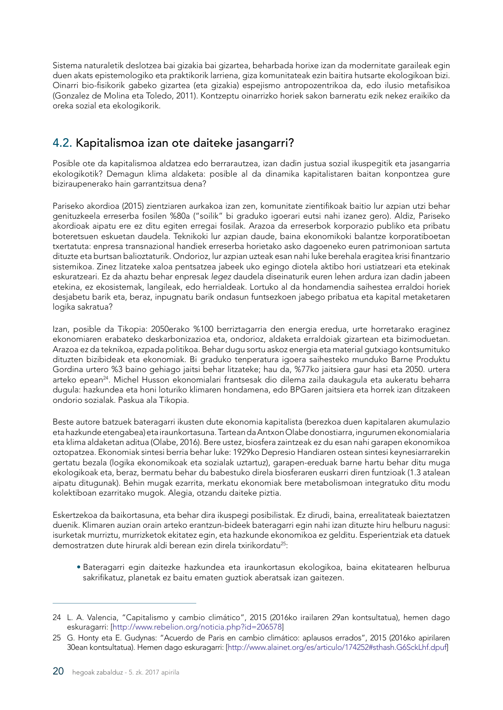<span id="page-21-0"></span>Sistema naturaletik deslotzea bai gizakia bai gizartea, beharbada horixe izan da modernitate garaileak egin duen akats epistemologiko eta praktikorik larriena, giza komunitateak ezin baitira hutsarte ekologikoan bizi. Oinarri bio-fisikorik gabeko gizartea (eta gizakia) espejismo antropozentrikoa da, edo ilusio metafisikoa (Gonzalez de Molina eta Toledo, 2011). Kontzeptu oinarrizko horiek sakon barneratu ezik nekez eraikiko da oreka sozial eta ekologikorik.

# 4.2. Kapitalismoa izan ote daiteke jasangarri?

Posible ote da kapitalismoa aldatzea edo berrarautzea, izan dadin justua sozial ikuspegitik eta jasangarria ekologikotik? Demagun klima aldaketa: posible al da dinamika kapitalistaren baitan konpontzea gure biziraupenerako hain garrantzitsua dena?

Pariseko akordioa (2015) zientziaren aurkakoa izan zen, komunitate zientifikoak baitio lur azpian utzi behar genituzkeela erreserba fosilen %80a ("soilik" bi graduko igoerari eutsi nahi izanez gero). Aldiz, Pariseko akordioak aipatu ere ez ditu egiten erregai fosilak. Arazoa da erreserbok korporazio publiko eta pribatu boteretsuen eskuetan daudela. Teknikoki lur azpian daude, baina ekonomikoki balantze korporatiboetan txertatuta: enpresa transnazional handiek erreserba horietako asko dagoeneko euren patrimonioan sartuta dituzte eta burtsan balioztaturik. Ondorioz, lur azpian uzteak esan nahi luke berehala eragitea krisi finantzario sistemikoa. Zinez litzateke xaloa pentsatzea jabeek uko egingo diotela aktibo hori ustiatzeari eta etekinak eskuratzeari. Ez da ahaztu behar enpresak *legez* daudela diseinaturik euren lehen ardura izan dadin jabeen etekina, ez ekosistemak, langileak, edo herrialdeak. Lortuko al da hondamendia saihestea erraldoi horiek desjabetu barik eta, beraz, inpugnatu barik ondasun funtsezkoen jabego pribatua eta kapital metaketaren logika sakratua?

Izan, posible da Tikopia: 2050erako %100 berriztagarria den energia eredua, urte horretarako eraginez ekonomiaren erabateko deskarbonizazioa eta, ondorioz, aldaketa erraldoiak gizartean eta bizimoduetan. Arazoa ez da teknikoa, ezpada politikoa. Behar dugu sortu askoz energia eta material gutxiago kontsumituko dituzten bizibideak eta ekonomiak. Bi graduko tenperatura igoera saihesteko munduko Barne Produktu Gordina urtero %3 baino gehiago jaitsi behar litzateke; hau da, %77ko jaitsiera gaur hasi eta 2050. urtera arteko epean24. Michel Husson ekonomialari frantsesak dio dilema zaila daukagula eta aukeratu beharra dugula: hazkundea eta honi loturiko klimaren hondamena, edo BPGaren jaitsiera eta horrek izan ditzakeen ondorio sozialak. Paskua ala Tikopia.

Beste autore batzuek bateragarri ikusten dute ekonomia kapitalista (berezkoa duen kapitalaren akumulazio eta hazkunde etengabea) eta iraunkortasuna. Tartean da Antxon Olabe donostiarra, ingurumen ekonomialaria eta klima aldaketan aditua (Olabe, 2016). Bere ustez, biosfera zaintzeak ez du esan nahi garapen ekonomikoa oztopatzea. Ekonomiak sintesi berria behar luke: 1929ko Depresio Handiaren ostean sintesi keynesiarrarekin gertatu bezala (logika ekonomikoak eta sozialak uztartuz), garapen-ereduak barne hartu behar ditu muga ekologikoak eta, beraz, bermatu behar du babestuko direla biosferaren euskarri diren funtzioak (1.3 atalean aipatu ditugunak). Behin mugak ezarrita, merkatu ekonomiak bere metabolismoan integratuko ditu modu kolektiboan ezarritako mugok. Alegia, otzandu daiteke piztia.

Eskertzekoa da baikortasuna, eta behar dira ikuspegi posibilistak. Ez dirudi, baina, errealitateak baieztatzen duenik. Klimaren auzian orain arteko erantzun-bideek bateragarri egin nahi izan dituzte hiru helburu nagusi: isurketak murriztu, murrizketok ekitatez egin, eta hazkunde ekonomikoa ez gelditu. Esperientziak eta datuek demostratzen dute hirurak aldi berean ezin direla txirikordatu25:

• Bateragarri egin daitezke hazkundea eta iraunkortasun ekologikoa, baina ekitatearen helburua sakrifikatuz, planetak ez baitu ematen guztiok aberatsak izan gaitezen.

<sup>24</sup> L. A. Valencia, "Capitalismo y cambio climático", 2015 (2016ko irailaren 29an kontsultatua), hemen dago eskuragarri: [\[http://www.rebelion.org/noticia.php?id=206578](http://www.rebelion.org/noticia.php?id=206578)]

<sup>25</sup> G. Honty eta E. Gudynas: "Acuerdo de Paris en cambio climático: aplausos errados", 2015 (2016ko apirilaren 30ean kontsultatua). Hemen dago eskuragarri: [[http://www.alainet.org/es/articulo/174252#sthash.G6SckLhf.dpuf\]](http://www.alainet.org/es/articulo/174252#sthash.G6SckLhf.dpuf)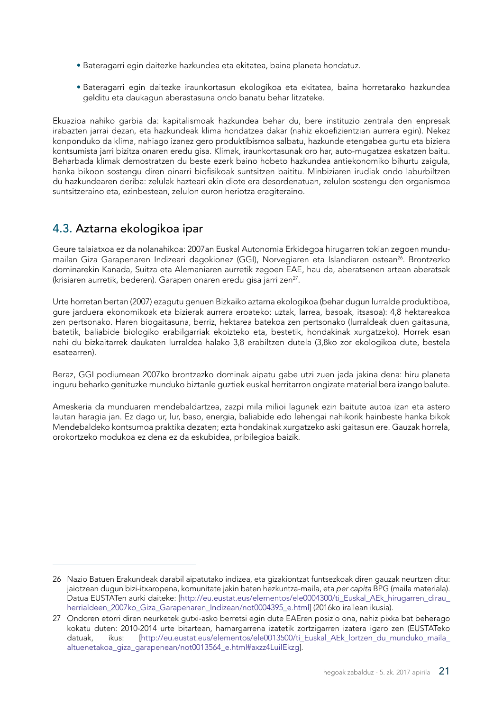- <span id="page-22-0"></span>• Bateragarri egin daitezke hazkundea eta ekitatea, baina planeta hondatuz.
- Bateragarri egin daitezke iraunkortasun ekologikoa eta ekitatea, baina horretarako hazkundea gelditu eta daukagun aberastasuna ondo banatu behar litzateke.

Ekuazioa nahiko garbia da: kapitalismoak hazkundea behar du, bere instituzio zentrala den enpresak irabazten jarrai dezan, eta hazkundeak klima hondatzea dakar (nahiz ekoefizientzian aurrera egin). Nekez konponduko da klima, nahiago izanez gero produktibismoa salbatu, hazkunde etengabea gurtu eta biziera kontsumista jarri bizitza onaren eredu gisa. Klimak, iraunkortasunak oro har, auto-mugatzea eskatzen baitu. Beharbada klimak demostratzen du beste ezerk baino hobeto hazkundea antiekonomiko bihurtu zaigula, hanka bikoon sostengu diren oinarri biofisikoak suntsitzen baititu. Minbiziaren irudiak ondo laburbiltzen du hazkundearen deriba: zelulak hazteari ekin diote era desordenatuan, zelulon sostengu den organismoa suntsitzeraino eta, ezinbestean, zelulon euron heriotza eragiteraino.

### 4.3. Aztarna ekologikoa ipar

Geure talaiatxoa ez da nolanahikoa: 2007an Euskal Autonomia Erkidegoa hirugarren tokian zegoen mundumailan Giza Garapenaren Indizeari dagokionez (GGI), Norvegiaren eta Islandiaren ostean26. Brontzezko dominarekin Kanada, Suitza eta Alemaniaren aurretik zegoen EAE, hau da, aberatsenen artean aberatsak (krisiaren aurretik, bederen). Garapen onaren eredu gisa jarri zen<sup>27</sup>.

Urte horretan bertan (2007) ezagutu genuen Bizkaiko aztarna ekologikoa (behar dugun lurralde produktiboa, gure jarduera ekonomikoak eta bizierak aurrera eroateko: uztak, larrea, basoak, itsasoa): 4,8 hektareakoa zen pertsonako. Haren biogaitasuna, berriz, hektarea batekoa zen pertsonako (lurraldeak duen gaitasuna, batetik, baliabide biologiko erabilgarriak ekoizteko eta, bestetik, hondakinak xurgatzeko). Horrek esan nahi du bizkaitarrek daukaten lurraldea halako 3,8 erabiltzen dutela (3,8ko zor ekologikoa dute, bestela esatearren).

Beraz, GGI podiumean 2007ko brontzezko dominak aipatu gabe utzi zuen jada jakina dena: hiru planeta inguru beharko genituzke munduko biztanle guztiek euskal herritarron ongizate material bera izango balute.

Ameskeria da munduaren mendebaldartzea, zazpi mila milioi lagunek ezin baitute autoa izan eta astero lautan haragia jan. Ez dago ur, lur, baso, energia, baliabide edo lehengai nahikorik hainbeste hanka bikok Mendebaldeko kontsumoa praktika dezaten; ezta hondakinak xurgatzeko aski gaitasun ere. Gauzak horrela, orokortzeko modukoa ez dena ez da eskubidea, pribilegioa baizik.

<sup>26</sup> Nazio Batuen Erakundeak darabil aipatutako indizea, eta gizakiontzat funtsezkoak diren gauzak neurtzen ditu: jaiotzean dugun bizi-itxaropena, komunitate jakin baten hezkuntza-maila, eta *per capita* BPG (maila materiala). Datua EUSTATen aurki daiteke: [http://eu.eustat.eus/elementos/ele0004300/ti\_Euskal\_AEk\_hirugarren\_dirau [herrialdeen\\_2007ko\\_Giza\\_Garapenaren\\_Indizean/not0004395\\_e.html](http://eu.eustat.eus/elementos/ele0004300/ti_Euskal_AEk_hirugarren_dirau_herrialdeen_2007ko_Giza_Gar)] (2016ko irailean ikusia).

<sup>27</sup> Ondoren etorri diren neurketek gutxi-asko berretsi egin dute EAEren posizio ona, nahiz pixka bat beherago kokatu duten: 2010-2014 urte bitartean, hamargarrena izatetik zortzigarren izatera igaro zen (EUSTATeko datuak, ikus: [\[http://eu.eustat.eus/elementos/ele0013500/ti\\_Euskal\\_AEk\\_lortzen\\_du\\_munduko\\_maila\\_](http://eu.eustat.eus/elementos/ele0013500/ti_Euskal_AEk_lortzen_du_munduko_maila_altuenetakoa_giza_garapenean/not0013564_e.html#axzz4LuiIEkzg) [altuenetakoa\\_giza\\_garapenean/not0013564\\_e.html#axzz4LuiIEkzg](http://eu.eustat.eus/elementos/ele0013500/ti_Euskal_AEk_lortzen_du_munduko_maila_altuenetakoa_giza_garapenean/not0013564_e.html#axzz4LuiIEkzg)].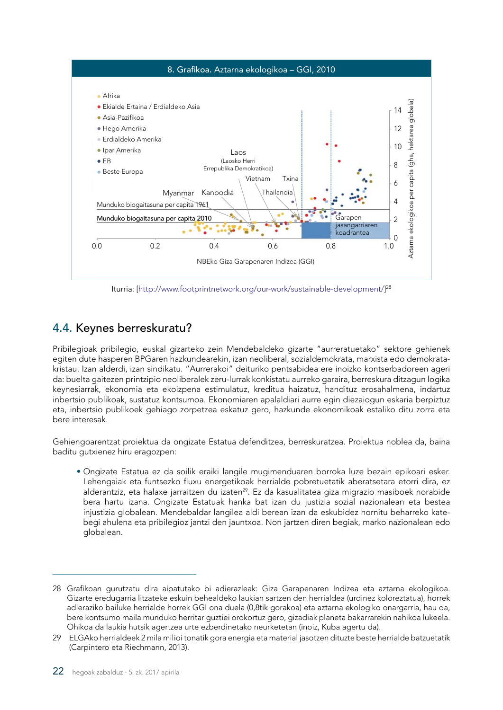<span id="page-23-0"></span>

Iturria: [[http://www.footprintnetwork.org/our-work/sustainable-development/\]](http://www.footprintnetwork.org/our-work/sustainable-development/) 28

## 4.4. Keynes berreskuratu?

Pribilegioak pribilegio, euskal gizarteko zein Mendebaldeko gizarte "aurreratuetako" sektore gehienek egiten dute hasperen BPGaren hazkundearekin, izan neoliberal, sozialdemokrata, marxista edo demokratakristau. Izan alderdi, izan sindikatu. "Aurrerakoi" deituriko pentsabidea ere inoizko kontserbadoreen ageri da: buelta gaitezen printzipio neoliberalek zeru-lurrak konkistatu aurreko garaira, berreskura ditzagun logika keynesiarrak, ekonomia eta ekoizpena estimulatuz, kreditua haizatuz, handituz erosahalmena, indartuz inbertsio publikoak, sustatuz kontsumoa. Ekonomiaren apalaldiari aurre egin diezaiogun eskaria berpiztuz eta, inbertsio publikoek gehiago zorpetzea eskatuz gero, hazkunde ekonomikoak estaliko ditu zorra eta bere interesak.

Gehiengoarentzat proiektua da ongizate Estatua defenditzea, berreskuratzea. Proiektua noblea da, baina baditu gutxienez hiru eragozpen:

• Ongizate Estatua ez da soilik eraiki langile mugimenduaren borroka luze bezain epikoari esker. Lehengaiak eta funtsezko fluxu energetikoak herrialde pobretuetatik aberatsetara etorri dira, ez alderantziz, eta halaxe jarraitzen du izaten<sup>29</sup>. Ez da kasualitatea giza migrazio masiboek norabide bera hartu izana. Ongizate Estatuak hanka bat izan du justizia sozial nazionalean eta bestea injustizia globalean. Mendebaldar langilea aldi berean izan da eskubidez hornitu beharreko katebegi ahulena eta pribilegioz jantzi den jauntxoa. Non jartzen diren begiak, marko nazionalean edo globalean.

<sup>28</sup> Grafikoan gurutzatu dira aipatutako bi adierazleak: Giza Garapenaren Indizea eta aztarna ekologikoa. Gizarte eredugarria litzateke eskuin behealdeko laukian sartzen den herrialdea (urdinez koloreztatua), horrek adieraziko bailuke herrialde horrek GGI ona duela (0,8tik gorakoa) eta aztarna ekologiko onargarria, hau da, bere kontsumo maila munduko herritar guztiei orokortuz gero, gizadiak planeta bakarrarekin nahikoa lukeela. Ohikoa da laukia hutsik agertzea urte ezberdinetako neurketetan (inoiz, Kuba agertu da).

<sup>29</sup> ELGAko herrialdeek 2 mila milioi tonatik gora energia eta material jasotzen dituzte beste herrialde batzuetatik (Carpintero eta Riechmann, 2013).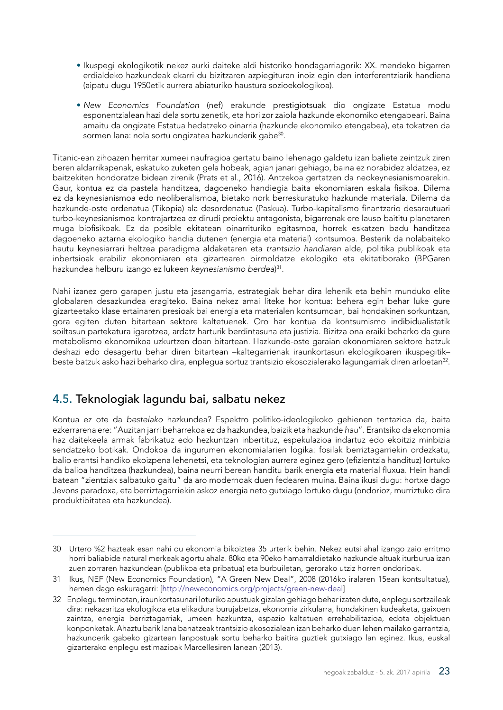- <span id="page-24-0"></span>• Ikuspegi ekologikotik nekez aurki daiteke aldi historiko hondagarriagorik: XX. mendeko bigarren erdialdeko hazkundeak ekarri du bizitzaren azpiegituran inoiz egin den interferentziarik handiena (aipatu dugu 1950etik aurrera abiaturiko haustura sozioekologikoa).
- *New Economics Foundation* (nef) erakunde prestigiotsuak dio ongizate Estatua modu esponentzialean hazi dela sortu zenetik, eta hori zor zaiola hazkunde ekonomiko etengabeari. Baina amaitu da ongizate Estatua hedatzeko oinarria (hazkunde ekonomiko etengabea), eta tokatzen da sormen lana: nola sortu ongizatea hazkunderik gabe<sup>30</sup>.

Titanic-ean zihoazen herritar xumeei naufragioa gertatu baino lehenago galdetu izan baliete zeintzuk ziren beren aldarrikapenak, eskatuko zuketen gela hobeak, agian janari gehiago, baina ez norabidez aldatzea, ez baitzekiten hondoratze bidean zirenik (Prats et al., 2016). Antzekoa gertatzen da neokeynesianismoarekin. Gaur, kontua ez da pastela handitzea, dagoeneko handiegia baita ekonomiaren eskala fisikoa. Dilema ez da keynesianismoa edo neoliberalismoa, bietako nork berreskuratuko hazkunde materiala. Dilema da hazkunde-oste ordenatua (Tikopia) ala desordenatua (Paskua). Turbo-kapitalismo finantzario desarautuari turbo-keynesianismoa kontrajartzea ez dirudi proiektu antagonista, bigarrenak ere lauso baititu planetaren muga biofisikoak. Ez da posible ekitatean oinarrituriko egitasmoa, horrek eskatzen badu handitzea dagoeneko aztarna ekologiko handia dutenen (energia eta material) kontsumoa. Besterik da nolabaiteko hautu keynesiarrari heltzea paradigma aldaketaren eta *trantsizio handiaren* alde, politika publikoak eta inbertsioak erabiliz ekonomiaren eta gizartearen birmoldatze ekologiko eta ekitatiborako (BPGaren hazkundea helburu izango ez lukeen *keynesianismo berdea*) 31.

Nahi izanez gero garapen justu eta jasangarria, estrategiak behar dira lehenik eta behin munduko elite globalaren desazkundea eragiteko. Baina nekez amai liteke hor kontua: behera egin behar luke gure gizarteetako klase ertainaren presioak bai energia eta materialen kontsumoan, bai hondakinen sorkuntzan, gora egiten duten bitartean sektore kaltetuenek. Oro har kontua da kontsumismo indibidualistatik soiltasun partekatura igarotzea, ardatz harturik berdintasuna eta justizia. Bizitza ona eraiki beharko da gure metabolismo ekonomikoa uzkurtzen doan bitartean. Hazkunde-oste garaian ekonomiaren sektore batzuk deshazi edo desagertu behar diren bitartean –kaltegarrienak iraunkortasun ekologikoaren ikuspegitik– beste batzuk asko hazi beharko dira, enplegua sortuz trantsizio ekosozialerako lagungarriak diren arloetan32.

### 4.5. Teknologiak lagundu bai, salbatu nekez

Kontua ez ote da *bestelako* hazkundea? Espektro politiko-ideologikoko gehienen tentazioa da, baita ezkerrarena ere: "Auzitan jarri beharrekoa ez da hazkundea, baizik eta hazkunde *hau*". Erantsiko da ekonomia haz daitekeela armak fabrikatuz edo hezkuntzan inbertituz, espekulazioa indartuz edo ekoitziz minbizia sendatzeko botikak. Ondokoa da ingurumen ekonomialarien logika: fosilak berriztagarriekin ordezkatu, balio erantsi handiko ekoizpena lehenetsi, eta teknologian aurrera eginez gero (efizientzia handituz) lortuko da balioa handitzea (hazkundea), baina neurri berean handitu barik energia eta material fluxua. Hein handi batean "zientziak salbatuko gaitu" da aro modernoak duen fedearen muina. Baina ikusi dugu: hortxe dago Jevons paradoxa, eta berriztagarriekin askoz energia neto gutxiago lortuko dugu (ondorioz, murriztuko dira produktibitatea eta hazkundea).

<sup>30</sup> Urtero %2 hazteak esan nahi du ekonomia bikoiztea 35 urterik behin. Nekez eutsi ahal izango zaio erritmo horri baliabide natural merkeak agortu ahala. 80ko eta 90eko hamarraldietako hazkunde altuak iturburua izan zuen zorraren hazkundean (publikoa eta pribatua) eta burbuiletan, gerorako utziz horren ondorioak.

<sup>31</sup> Ikus, NEF (New Economics Foundation), "A Green New Deal", 2008 (2016ko iralaren 15ean kontsultatua), hemen dago eskuragarri: [\[http://neweconomics.org/projects/green-new-deal](http://neweconomics.org/projects/green-new-deal)]

<sup>32</sup> Enplegu terminotan, iraunkortasunari loturiko apustuek gizalan gehiago behar izaten dute, enplegu sortzaileak dira: nekazaritza ekologikoa eta elikadura burujabetza, ekonomia zirkularra, hondakinen kudeaketa, gaixoen zaintza, energia berriztagarriak, umeen hazkuntza, espazio kaltetuen errehabilitazioa, edota objektuen konponketak. Ahaztu barik lana banatzeak trantsizio ekosozialean izan beharko duen lehen mailako garrantzia, hazkunderik gabeko gizartean lanpostuak sortu beharko baitira guztiek gutxiago lan eginez. Ikus, euskal gizarterako enplegu estimazioak Marcellesiren lanean (2013).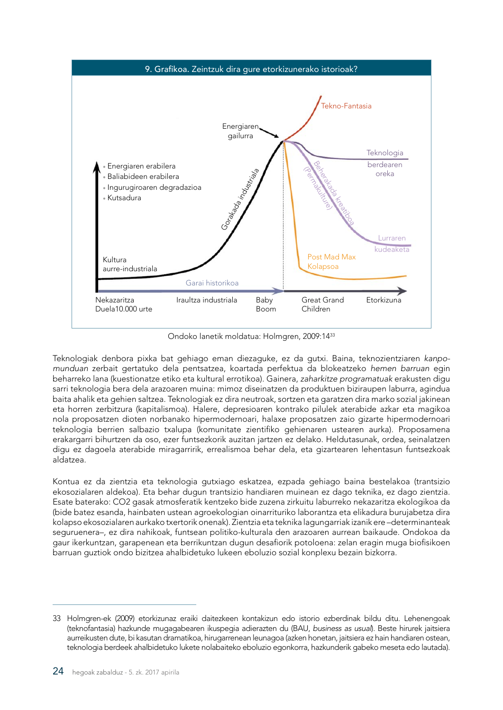

Ondoko lanetik moldatua: Holmgren, 2009:14<sup>33</sup>

Teknologiak denbora pixka bat gehiago eman diezaguke, ez da gutxi. Baina, teknozientziaren *kanpomunduan* zerbait gertatuko dela pentsatzea, koartada perfektua da blokeatzeko *hemen barruan* egin beharreko lana (kuestionatze etiko eta kultural errotikoa). Gainera, *zaharkitze programatuak* erakusten digu sarri teknologia bera dela arazoaren muina: mimoz diseinatzen da produktuen biziraupen laburra, agindua baita ahalik eta gehien saltzea. Teknologiak ez dira neutroak, sortzen eta garatzen dira marko sozial jakinean eta horren zerbitzura (kapitalismoa). Halere, depresioaren kontrako pilulek aterabide azkar eta magikoa nola proposatzen dioten norbanako hipermodernoari, halaxe proposatzen zaio gizarte hipermodernoari teknologia berrien salbazio txalupa (komunitate zientifiko gehienaren ustearen aurka). Proposamena erakargarri bihurtzen da oso, ezer funtsezkorik auzitan jartzen ez delako. Heldutasunak, ordea, seinalatzen digu ez dagoela aterabide miragarririk, errealismoa behar dela, eta gizartearen lehentasun funtsezkoak aldatzea.

Kontua ez da zientzia eta teknologia gutxiago eskatzea, ezpada gehiago baina bestelakoa (trantsizio ekosozialaren aldekoa). Eta behar dugun trantsizio handiaren muinean ez dago teknika, ez dago zientzia. Esate baterako: CO2 gasak atmosferatik kentzeko bide zuzena zirkuitu laburreko nekazaritza ekologikoa da (bide batez esanda, hainbaten ustean agroekologian oinarrituriko laborantza eta elikadura burujabetza dira kolapso ekosozialaren aurkako txertorik onenak). Zientzia eta teknika lagungarriak izanik ere –determinanteak seguruenera–, ez dira nahikoak, funtsean politiko-kulturala den arazoaren aurrean baikaude. Ondokoa da gaur ikerkuntzan, garapenean eta berrikuntzan dugun desafiorik potoloena: zelan eragin muga biofisikoen barruan guztiok ondo bizitzea ahalbidetuko lukeen eboluzio sozial konplexu bezain bizkorra.

<sup>33</sup> Holmgren-ek (2009) etorkizunaz eraiki daitezkeen kontakizun edo istorio ezberdinak bildu ditu. Lehenengoak (teknofantasia) hazkunde mugagabearen ikuspegia adierazten du (BAU, *business as usual*). Beste hirurek jaitsiera aurreikusten dute, bi kasutan dramatikoa, hirugarrenean leunagoa (azken honetan, jaitsiera ez hain handiaren ostean, teknologia berdeek ahalbidetuko lukete nolabaiteko eboluzio egonkorra, hazkunderik gabeko meseta edo lautada).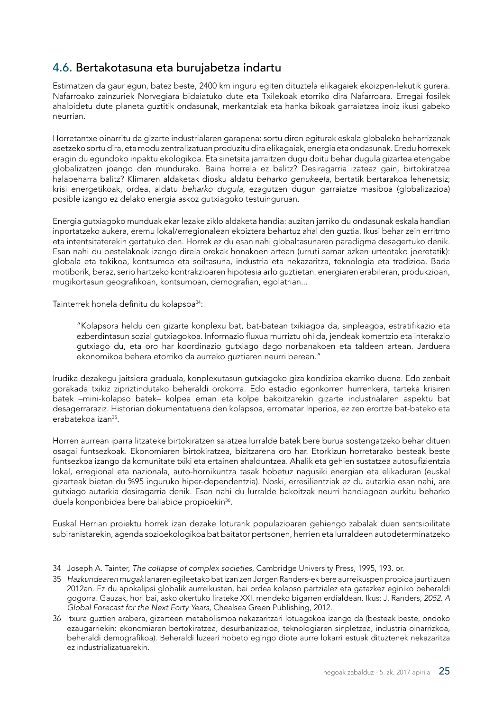## <span id="page-26-0"></span>4.6. Bertakotasuna eta burujabetza indartu

Estimatzen da gaur egun, batez beste, 2400 km inguru egiten dituztela elikagaiek ekoizpen-lekutik gurera. Nafarroako zainzuriek Norvegiara bidaiatuko dute eta Txilekoak etorriko dira Nafarroara. Erregai fosilek ahalbidetu dute planeta guztitik ondasunak, merkantziak eta hanka bikoak garraiatzea inoiz ikusi gabeko neurrian.

Horretantxe oinarritu da gizarte industrialaren garapena: sortu diren egiturak eskala globaleko beharrizanak asetzeko sortu dira, eta modu zentralizatuan produzitu dira elikagaiak, energia eta ondasunak. Eredu horrexek eragin du egundoko inpaktu ekologikoa. Eta sinetsita jarraitzen dugu doitu behar dugula gizartea etengabe globalizatzen joango den mundurako. Baina horrela ez balitz? Desiragarria izateaz gain, birtokiratzea halabeharra balitz? Klimaren aldaketak diosku aldatu *beharko genukeela,* bertatik bertarakoa lehenetsiz; krisi energetikoak, ordea, aldatu *beharko dugula*, ezagutzen dugun garraiatze masiboa (globalizazioa) posible izango ez delako energia askoz gutxiagoko testuinguruan.

Energia gutxiagoko munduak ekar lezake ziklo aldaketa handia: auzitan jarriko du ondasunak eskala handian inportatzeko aukera, eremu lokal/erregionalean ekoiztera behartuz ahal den guztia. Ikusi behar zein erritmo eta intentsitaterekin gertatuko den. Horrek ez du esan nahi globaltasunaren paradigma desagertuko denik. Esan nahi du bestelakoak izango direla orekak honakoen artean (urruti samar azken urteotako joeretatik): globala eta tokikoa, kontsumoa eta soiltasuna, industria eta nekazaritza, teknologia eta tradizioa. Bada motiborik, beraz, serio hartzeko kontrakzioaren hipotesia arlo guztietan: energiaren erabileran, produkzioan, mugikortasun geografikoan, kontsumoan, demografian, egolatrian...

Tainterrek honela definitu du kolapsoa<sup>34</sup>:

"Kolapsora heldu den gizarte konplexu bat, bat-batean txikiagoa da, sinpleagoa, estratifikazio eta ezberdintasun sozial gutxiagokoa. Informazio fluxua murriztu ohi da, jendeak komertzio eta interakzio gutxiago du, eta oro har koordinazio gutxiago dago norbanakoen eta taldeen artean. Jarduera ekonomikoa behera etorriko da aurreko guztiaren neurri berean."

Irudika dezakegu jaitsiera graduala, konplexutasun gutxiagoko giza kondizioa ekarriko duena. Edo zenbait gorakada txikiz zipriztindutako beheraldi orokorra. Edo estadio egonkorren hurrenkera, tarteka krisiren batek –mini-kolapso batek– kolpea eman eta kolpe bakoitzarekin gizarte industrialaren aspektu bat desagerraraziz. Historian dokumentatuena den kolapsoa, erromatar Inperioa, ez zen erortze bat-bateko eta erabatekoa izan35.

Horren aurrean iparra litzateke birtokiratzen saiatzea lurralde batek bere burua sostengatzeko behar dituen osagai funtsezkoak. Ekonomiaren birtokiratzea, bizitzarena oro har. Etorkizun horretarako besteak beste funtsezkoa izango da komunitate txiki eta ertainen ahalduntzea. Ahalik eta gehien sustatzea autosufizientzia lokal, erregional eta nazionala, auto-hornikuntza tasak hobetuz nagusiki energian eta elikaduran (euskal gizarteak bietan du %95 inguruko hiper-dependentzia). Noski, erresilientziak ez du autarkia esan nahi, are gutxiago autarkia desiragarria denik. Esan nahi du lurralde bakoitzak neurri handiagoan aurkitu beharko duela konponbidea bere baliabide propioekin<sup>36</sup>.

Euskal Herrian proiektu horrek izan dezake loturarik populazioaren gehiengo zabalak duen sentsibilitate subiranistarekin, agenda sozioekologikoa bat baitator pertsonen, herrien eta lurraldeen autodeterminatzeko

<sup>34</sup> Joseph A. Tainter, *The collapse of complex societies*, Cambridge University Press, 1995, 193. or.

<sup>35</sup> *Hazkundearen mugak* lanaren egileetako bat izan zen Jorgen Randers-ek bere aurreikuspen propioa jaurti zuen 2012an. Ez du apokalipsi globalik aurreikusten, bai ordea kolapso partzialez eta gatazkez eginiko beheraldi gogorra. Gauzak, hori bai, asko okertuko lirateke XXI. mendeko bigarren erdialdean. Ikus: J. Randers, *2052. A Global Forecast for the Next Forty Years,* Chealsea Green Publishing, 2012.

<sup>36</sup> Itxura guztien arabera, gizarteen metabolismoa nekazaritzari lotuagokoa izango da (besteak beste, ondoko ezaugarriekin: ekonomiaren bertokiratzea, desurbanizazioa, teknologiaren sinpletzea, industria oinarrizkoa, beheraldi demografikoa). Beheraldi luzeari hobeto egingo diote aurre lokarri estuak dituztenek nekazaritza ez industrializatuarekin.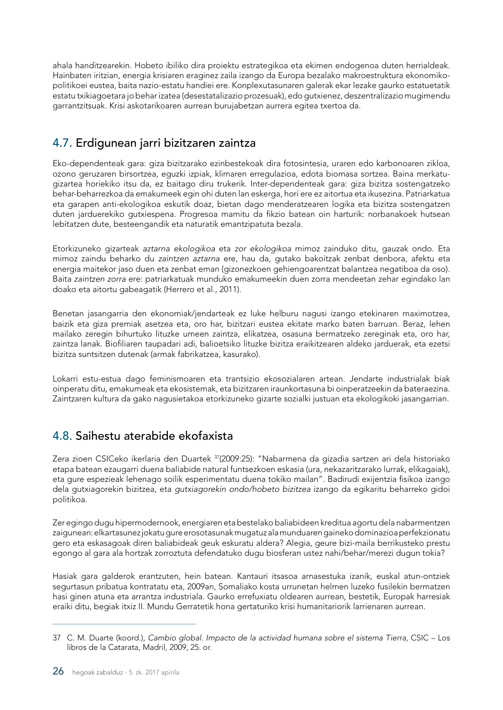<span id="page-27-0"></span>ahala handitzearekin. Hobeto ibiliko dira proiektu estrategikoa eta ekimen endogenoa duten herrialdeak. Hainbaten iritzian, energia krisiaren eraginez zaila izango da Europa bezalako makroestruktura ekonomikopolitikoei eustea, baita nazio-estatu handiei ere. Konplexutasunaren galerak ekar lezake gaurko estatuetatik estatu txikiagoetara jo behar izatea (desestatalizazio prozesuak), edo gutxienez, deszentralizazio mugimendu garrantzitsuak. Krisi askotarikoaren aurrean burujabetzan aurrera egitea txertoa da.

# 4.7. Erdigunean jarri bizitzaren zaintza

Eko-dependenteak gara: giza bizitzarako ezinbestekoak dira fotosintesia, uraren edo karbonoaren zikloa, ozono geruzaren birsortzea, eguzki izpiak, klimaren erregulazioa, edota biomasa sortzea. Baina merkatugizartea horiekiko itsu da, ez baitago diru trukerik. Inter-dependenteak gara: giza bizitza sostengatzeko behar-beharrezkoa da emakumeek egin ohi duten lan eskerga, hori ere ez aitortua eta ikusezina. Patriarkatua eta garapen anti-ekologikoa eskutik doaz, bietan dago menderatzearen logika eta bizitza sostengatzen duten jarduerekiko gutxiespena. Progresoa mamitu da fikzio batean oin harturik: norbanakoek hutsean lebitatzen dute, besteengandik eta naturatik emantzipatuta bezala.

Etorkizuneko gizarteak *aztarna ekologikoa* eta *zor ekologikoa* mimoz zainduko ditu, gauzak ondo. Eta mimoz zaindu beharko du *zaintzen aztarna* ere, hau da, gutako bakoitzak zenbat denbora, afektu eta energia maitekor jaso duen eta zenbat eman (gizonezkoen gehiengoarentzat balantzea negatiboa da oso). Baita *zaintzen zorra* ere: patriarkatuak munduko emakumeekin duen zorra mendeetan zehar egindako lan doako eta aitortu gabeagatik (Herrero et al., 2011).

Benetan jasangarria den ekonomiak/jendarteak ez luke helburu nagusi izango etekinaren maximotzea, baizik eta giza premiak asetzea eta, oro har, bizitzari eustea ekitate marko baten barruan. Beraz, lehen mailako zeregin bihurtuko lituzke umeen zaintza, elikatzea, osasuna bermatzeko zereginak eta, oro har, zaintza lanak. Biofiliaren taupadari adi, balioetsiko lituzke bizitza eraikitzearen aldeko jarduerak, eta ezetsi bizitza suntsitzen dutenak (armak fabrikatzea, kasurako).

Lokarri estu-estua dago feminismoaren eta trantsizio ekosozialaren artean. Jendarte industrialak biak oinperatu ditu, emakumeak eta ekosistemak, eta bizitzaren iraunkortasuna bi oinperatzeekin da bateraezina. Zaintzaren kultura da gako nagusietakoa etorkizuneko gizarte sozialki justuan eta ekologikoki jasangarrian.

# 4.8. Saihestu aterabide ekofaxista

Zera zioen CSICeko ikerlaria den Duartek <sup>37</sup>(2009:25): "Nabarmena da gizadia sartzen ari dela historiako etapa batean ezaugarri duena baliabide natural funtsezkoen eskasia (ura, nekazaritzarako lurrak, elikagaiak), eta gure espezieak lehenago soilik esperimentatu duena tokiko mailan". Badirudi exijentzia fisikoa izango dela gutxiagorekin bizitzea, eta *gutxiagorekin ondo/hobeto bizitzea* izango da egikaritu beharreko gidoi politikoa.

Zer egingo dugu hipermodernook, energiaren eta bestelako baliabideen kreditua agortu dela nabarmentzen zaigunean: elkartasunez jokatu gure erosotasunak mugatuz ala munduaren gaineko dominazioa perfekzionatu gero eta eskasagoak diren baliabideak geuk eskuratu aldera? Alegia, geure bizi-maila berrikusteko prestu egongo al gara ala hortzak zorroztuta defendatuko dugu biosferan ustez nahi/behar/merezi dugun tokia?

Hasiak gara galderok erantzuten, hein batean. Kantauri itsasoa arnasestuka izanik, euskal atun-ontziek segurtasun pribatua kontratatu eta, 2009an, Somaliako kosta urrunetan helmen luzeko fusilekin bermatzen hasi ginen atuna eta arrantza industriala. Gaurko errefuxiatu oldearen aurrean, bestetik, Europak harresiak eraiki ditu, begiak itxiz II. Mundu Gerratetik hona gertaturiko krisi humanitariorik larrienaren aurrean.

<sup>37</sup> C. M. Duarte (koord.), *Cambio global. Impacto de la actividad humana sobre el sistema Tierra*, CSIC – Los libros de la Catarata, Madril, 2009, 25. or.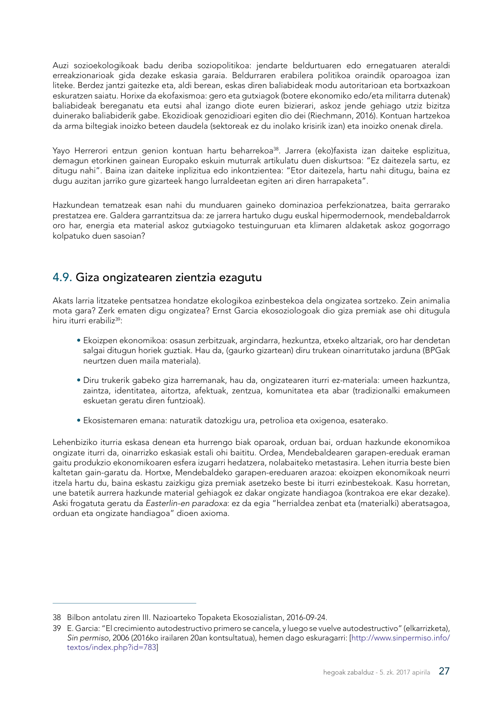<span id="page-28-0"></span>Auzi sozioekologikoak badu deriba soziopolitikoa: jendarte beldurtuaren edo ernegatuaren ateraldi erreakzionarioak gida dezake eskasia garaia. Beldurraren erabilera politikoa oraindik oparoagoa izan liteke. Berdez jantzi gaitezke eta, aldi berean, eskas diren baliabideak modu autoritarioan eta bortxazkoan eskuratzen saiatu. Horixe da ekofaxismoa: gero eta gutxiagok (botere ekonomiko edo/eta militarra dutenak) baliabideak bereganatu eta eutsi ahal izango diote euren bizierari, askoz jende gehiago utziz bizitza duinerako baliabiderik gabe. Ekozidioak genozidioari egiten dio dei (Riechmann, 2016). Kontuan hartzekoa da arma biltegiak inoizko beteen daudela (sektoreak ez du inolako krisirik izan) eta inoizko onenak direla.

Yayo Herrerori entzun genion kontuan hartu beharrekoa<sup>38</sup>. Jarrera (eko)faxista izan daiteke esplizitua, demagun etorkinen gainean Europako eskuin muturrak artikulatu duen diskurtsoa: "Ez daitezela sartu, ez ditugu nahi". Baina izan daiteke inplizitua edo inkontzientea: "Etor daitezela, hartu nahi ditugu, baina ez dugu auzitan jarriko gure gizarteek hango lurraldeetan egiten ari diren harrapaketa".

Hazkundean tematzeak esan nahi du munduaren gaineko dominazioa perfekzionatzea, baita gerrarako prestatzea ere. Galdera garrantzitsua da: ze jarrera hartuko dugu euskal hipermodernook, mendebaldarrok oro har, energia eta material askoz gutxiagoko testuinguruan eta klimaren aldaketak askoz gogorrago kolpatuko duen sasoian?

### 4.9. Giza ongizatearen zientzia ezagutu

Akats larria litzateke pentsatzea hondatze ekologikoa ezinbestekoa dela ongizatea sortzeko. Zein animalia mota gara? Zerk ematen digu ongizatea? Ernst Garcia ekosoziologoak dio giza premiak ase ohi ditugula hiru iturri erabiliz<sup>39</sup>:

- Ekoizpen ekonomikoa: osasun zerbitzuak, argindarra, hezkuntza, etxeko altzariak, oro har dendetan salgai ditugun horiek guztiak. Hau da, (gaurko gizartean) diru trukean oinarritutako jarduna (BPGak neurtzen duen maila materiala).
- Diru trukerik gabeko giza harremanak, hau da, ongizatearen iturri ez-materiala: umeen hazkuntza, zaintza, identitatea, aitortza, afektuak, zentzua, komunitatea eta abar (tradizionalki emakumeen eskuetan geratu diren funtzioak).
- Ekosistemaren emana: naturatik datozkigu ura, petrolioa eta oxigenoa, esaterako.

Lehenbiziko iturria eskasa denean eta hurrengo biak oparoak, orduan bai, orduan hazkunde ekonomikoa ongizate iturri da, oinarrizko eskasiak estali ohi baititu. Ordea, Mendebaldearen garapen-ereduak eraman gaitu produkzio ekonomikoaren esfera izugarri hedatzera, nolabaiteko metastasira. Lehen iturria beste bien kaltetan gain-garatu da. Hortxe, Mendebaldeko garapen-ereduaren arazoa: ekoizpen ekonomikoak neurri itzela hartu du, baina eskastu zaizkigu giza premiak asetzeko beste bi iturri ezinbestekoak. Kasu horretan, une batetik aurrera hazkunde material gehiagok ez dakar ongizate handiagoa (kontrakoa ere ekar dezake). Aski frogatuta geratu da *Easterlin-en paradoxa*: ez da egia "herrialdea zenbat eta (materialki) aberatsagoa, orduan eta ongizate handiagoa" dioen axioma.

<sup>38</sup> Bilbon antolatu ziren III. Nazioarteko Topaketa Ekosozialistan, 2016-09-24.

<sup>39</sup> E. Garcia: "El crecimiento autodestructivo primero se cancela, y luego se vuelve autodestructivo" (elkarrizketa), *Sin permiso*, 2006 (2016ko irailaren 20an kontsultatua), hemen dago eskuragarri: [[http://www.sinpermiso.info/](http://www.sinpermiso.info/textos/index.php?id=783) [textos/index.php?id=783](http://www.sinpermiso.info/textos/index.php?id=783)]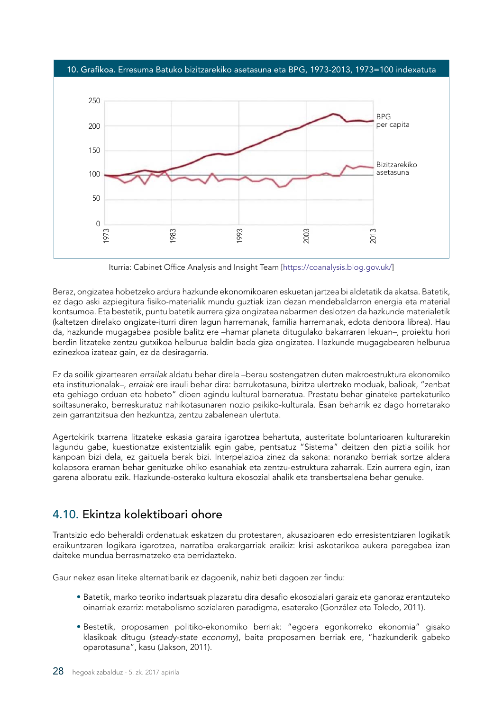<span id="page-29-0"></span>

Iturria: Cabinet Office Analysis and Insight Team [https://coanalysis.blog.gov.uk/]

Beraz, ongizatea hobetzeko ardura hazkunde ekonomikoaren eskuetan jartzea bi aldetatik da akatsa. Batetik, ez dago aski azpiegitura fisiko-materialik mundu guztiak izan dezan mendebaldarron energia eta material kontsumoa. Eta bestetik, puntu batetik aurrera giza ongizatea nabarmen deslotzen da hazkunde materialetik (kaltetzen direlako ongizate-iturri diren lagun harremanak, familia harremanak, edota denbora librea). Hau da, hazkunde mugagabea posible balitz ere –hamar planeta ditugulako bakarraren lekuan–, proiektu hori berdin litzateke zentzu gutxikoa helburua baldin bada giza ongizatea. Hazkunde mugagabearen helburua ezinezkoa izateaz gain, ez da desiragarria.

Ez da soilik gizartearen *errailak* aldatu behar direla –berau sostengatzen duten makroestruktura ekonomiko eta instituzionalak–, *erraiak* ere irauli behar dira: barrukotasuna, bizitza ulertzeko moduak, balioak, "zenbat eta gehiago orduan eta hobeto" dioen agindu kultural barneratua. Prestatu behar ginateke partekaturiko soiltasunerako, berreskuratuz nahikotasunaren nozio psikiko-kulturala. Esan beharrik ez dago horretarako zein garrantzitsua den hezkuntza, zentzu zabalenean ulertuta.

Agertokirik txarrena litzateke eskasia garaira igarotzea behartuta, austeritate boluntarioaren kulturarekin lagundu gabe, kuestionatze existentzialik egin gabe, pentsatuz "Sistema" deitzen den piztia soilik hor kanpoan bizi dela, ez gaituela berak bizi. Interpelazioa zinez da sakona: noranzko berriak sortze aldera kolapsora eraman behar genituzke ohiko esanahiak eta zentzu-estruktura zaharrak. Ezin aurrera egin, izan garena alboratu ezik. Hazkunde-osterako kultura ekosozial ahalik eta transbertsalena behar genuke.

# 4.10. Ekintza kolektiboari ohore

Trantsizio edo beheraldi ordenatuak eskatzen du protestaren, akusazioaren edo erresistentziaren logikatik eraikuntzaren logikara igarotzea, narratiba erakargarriak eraikiz: krisi askotarikoa aukera paregabea izan daiteke mundua berrasmatzeko eta berridazteko.

Gaur nekez esan liteke alternatibarik ez dagoenik, nahiz beti dagoen zer findu:

- Batetik, marko teoriko indartsuak plazaratu dira desafio ekosozialari garaiz eta ganoraz erantzuteko oinarriak ezarriz: metabolismo sozialaren paradigma, esaterako (González eta Toledo, 2011).
- Bestetik, proposamen politiko-ekonomiko berriak: "egoera egonkorreko ekonomia" gisako klasikoak ditugu (*steady-state economy*), baita proposamen berriak ere, "hazkunderik gabeko oparotasuna", kasu (Jakson, 2011).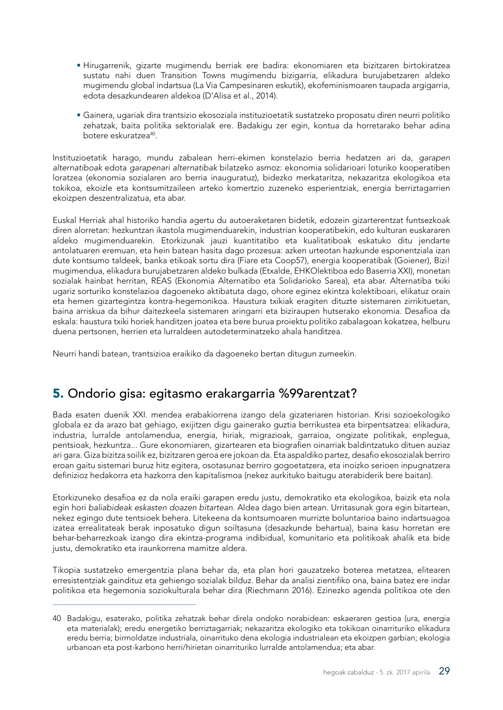- <span id="page-30-0"></span>• Hirugarrenik, gizarte mugimendu berriak ere badira: ekonomiaren eta bizitzaren birtokiratzea sustatu nahi duen Transition Towns mugimendu bizigarria, elikadura burujabetzaren aldeko mugimendu global indartsua (La Via Campesinaren eskutik), ekofeminismoaren taupada argigarria, edota desazkundearen aldekoa (D'Alisa et al., 2014).
- Gainera, ugariak dira trantsizio ekosoziala instituzioetatik sustatzeko proposatu diren neurri politiko zehatzak, baita politika sektorialak ere. Badakigu zer egin, kontua da horretarako behar adina botere eskuratzea<sup>40</sup>.

Instituzioetatik harago, mundu zabalean herri-ekimen konstelazio berria hedatzen ari da, *garapen alternatiboak* edota *garapenari alternatibak* bilatzeko asmoz: ekonomia solidarioari loturiko kooperatiben loratzea (ekonomia sozialaren aro berria inauguratuz), bidezko merkataritza, nekazaritza ekologikoa eta tokikoa, ekoizle eta kontsumitzaileen arteko komertzio zuzeneko esperientziak, energia berriztagarrien ekoizpen deszentralizatua, eta abar.

Euskal Herriak ahal historiko handia agertu du autoeraketaren bidetik, edozein gizarterentzat funtsezkoak diren alorretan: hezkuntzan ikastola mugimenduarekin, industrian kooperatibekin, edo kulturan euskararen aldeko mugimenduarekin. Etorkizunak jauzi kuantitatibo eta kualitatiboak eskatuko ditu jendarte antolatuaren eremuan, eta hein batean hasita dago prozesua: azken urteotan hazkunde esponentziala izan dute kontsumo taldeek, banka etikoak sortu dira (Fiare eta Coop57), energia kooperatibak (Goiener), Bizi! mugimendua, elikadura burujabetzaren aldeko bulkada (Etxalde, EHKOlektiboa edo Baserria XXI), monetan sozialak hainbat herritan, REAS (Ekonomia Alternatibo eta Solidarioko Sarea), eta abar. Alternatiba txiki ugariz sorturiko konstelazioa dagoeneko aktibatuta dago, ohore eginez ekintza kolektiboari, elikatuz orain eta hemen gizartegintza kontra-hegemonikoa. Haustura txikiak eragiten dituzte sistemaren zirrikituetan, baina arriskua da bihur daitezkeela sistemaren aringarri eta biziraupen hutserako ekonomia. Desafioa da eskala: haustura txiki horiek handitzen joatea eta bere burua proiektu politiko zabalagoan kokatzea, helburu duena pertsonen, herrien eta lurraldeen autodeterminatzeko ahala handitzea.

Neurri handi batean, trantsizioa eraikiko da dagoeneko bertan ditugun zumeekin.

# 5. Ondorio gisa: egitasmo erakargarria %99arentzat?

Bada esaten duenik XXI. mendea erabakiorrena izango dela gizateriaren historian. Krisi sozioekologiko globala ez da arazo bat gehiago, exijitzen digu gainerako guztia berrikustea eta birpentsatzea: elikadura, industria, lurralde antolamendua, energia, hiriak, migrazioak, garraioa, ongizate politikak, enplegua, pentsioak, hezkuntza... Gure ekonomiaren, gizartearen eta biografien oinarriak baldintzatuko dituen auziaz ari gara. Giza bizitza soilik ez, bizitzaren geroa ere jokoan da. Eta aspaldiko partez, desafio ekosozialak berriro eroan gaitu sistemari buruz hitz egitera, osotasunaz berriro gogoetatzera, eta inoizko serioen inpugnatzera definizioz hedakorra eta hazkorra den kapitalismoa (nekez aurkituko baitugu aterabiderik bere baitan).

Etorkizuneko desafioa ez da nola eraiki garapen eredu justu, demokratiko eta ekologikoa, baizik eta nola egin hori *baliabideak eskasten doazen bitartean*. Aldea dago bien artean. Urritasunak gora egin bitartean, nekez egingo dute tentsioek behera. Litekeena da kontsumoaren murrizte boluntarioa baino indartsuagoa izatea errealitateak berak inposatuko digun soiltasuna (desazkunde behartua), baina kasu horretan ere behar-beharrezkoak izango dira ekintza-programa indibidual, komunitario eta politikoak ahalik eta bide justu, demokratiko eta iraunkorrena mamitze aldera.

Tikopia sustatzeko emergentzia plana behar da, eta plan hori gauzatzeko boterea metatzea, elitearen erresistentziak gaindituz eta gehiengo sozialak bilduz. Behar da analisi zientifiko ona, baina batez ere indar politikoa eta hegemonia soziokulturala behar dira (Riechmann 2016). Ezinezko agenda politikoa ote den

<sup>40</sup> Badakigu, esaterako, politika zehatzak behar direla ondoko norabidean: eskaeraren gestioa (ura, energia eta materialak); eredu energetiko berriztagarriak; nekazaritza ekologiko eta tokikoan oinarrituriko elikadura eredu berria; birmoldatze industriala, oinarrituko dena ekologia industrialean eta ekoizpen garbian; ekologia urbanoan eta post-karbono herri/hirietan oinarrituriko lurralde antolamendua; eta abar.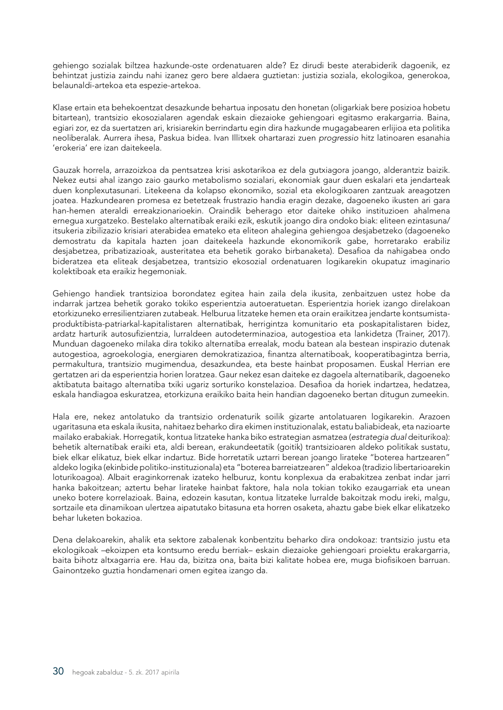gehiengo sozialak biltzea hazkunde-oste ordenatuaren alde? Ez dirudi beste aterabiderik dagoenik, ez behintzat justizia zaindu nahi izanez gero bere aldaera guztietan: justizia soziala, ekologikoa, generokoa, belaunaldi-artekoa eta espezie-artekoa.

Klase ertain eta behekoentzat desazkunde behartua inposatu den honetan (oligarkiak bere posizioa hobetu bitartean), trantsizio ekosozialaren agendak eskain diezaioke gehiengoari egitasmo erakargarria. Baina, egiari zor, ez da suertatzen ari, krisiarekin berrindartu egin dira hazkunde mugagabearen erlijioa eta politika neoliberalak. Aurrera ihesa, Paskua bidea. Ivan Illitxek ohartarazi zuen *progressio* hitz latinoaren esanahia 'erokeria' ere izan daitekeela.

Gauzak horrela, arrazoizkoa da pentsatzea krisi askotarikoa ez dela gutxiagora joango, alderantziz baizik. Nekez eutsi ahal izango zaio gaurko metabolismo sozialari, ekonomiak gaur duen eskalari eta jendarteak duen konplexutasunari. Litekeena da kolapso ekonomiko, sozial eta ekologikoaren zantzuak areagotzen joatea. Hazkundearen promesa ez betetzeak frustrazio handia eragin dezake, dagoeneko ikusten ari gara han-hemen ateraldi erreakzionarioekin. Oraindik beherago etor daiteke ohiko instituzioen ahalmena ernegua xurgatzeko. Bestelako alternatibak eraiki ezik, eskutik joango dira ondoko biak: eliteen ezintasuna/ itsukeria zibilizazio krisiari aterabidea emateko eta eliteon ahalegina gehiengoa desjabetzeko (dagoeneko demostratu da kapitala hazten joan daitekeela hazkunde ekonomikorik gabe, horretarako erabiliz desjabetzea, pribatizazioak, austeritatea eta behetik gorako birbanaketa). Desafioa da nahigabea ondo bideratzea eta eliteak desjabetzea, trantsizio ekosozial ordenatuaren logikarekin okupatuz imaginario kolektiboak eta eraikiz hegemoniak.

Gehiengo handiek trantsizioa borondatez egitea hain zaila dela ikusita, zenbaitzuen ustez hobe da indarrak jartzea behetik gorako tokiko esperientzia autoeratuetan. Esperientzia horiek izango direlakoan etorkizuneko erresilientziaren zutabeak. Helburua litzateke hemen eta orain eraikitzea jendarte kontsumistaproduktibista-patriarkal-kapitalistaren alternatibak, herrigintza komunitario eta poskapitalistaren bidez, ardatz harturik autosufizientzia, lurraldeen autodeterminazioa, autogestioa eta lankidetza (Trainer, 2017). Munduan dagoeneko milaka dira tokiko alternatiba errealak, modu batean ala bestean inspirazio dutenak autogestioa, agroekologia, energiaren demokratizazioa, finantza alternatiboak, kooperatibagintza berria, permakultura, trantsizio mugimendua, desazkundea, eta beste hainbat proposamen. Euskal Herrian ere gertatzen ari da esperientzia horien loratzea. Gaur nekez esan daiteke ez dagoela alternatibarik, dagoeneko aktibatuta baitago alternatiba txiki ugariz sorturiko konstelazioa. Desafioa da horiek indartzea, hedatzea, eskala handiagoa eskuratzea, etorkizuna eraikiko baita hein handian dagoeneko bertan ditugun zumeekin.

Hala ere, nekez antolatuko da trantsizio ordenaturik soilik gizarte antolatuaren logikarekin. Arazoen ugaritasuna eta eskala ikusita, nahitaez beharko dira ekimen instituzionalak, estatu baliabideak, eta nazioarte mailako erabakiak. Horregatik, kontua litzateke hanka biko estrategian asmatzea (*estrategia dual* deiturikoa): behetik alternatibak eraiki eta, aldi berean, erakundeetatik (goitik) trantsizioaren aldeko politikak sustatu, biek elkar elikatuz, biek elkar indartuz. Bide horretatik uztarri berean joango lirateke "boterea hartzearen" aldeko logika (ekinbide politiko-instituzionala) eta "boterea barreiatzearen" aldekoa (tradizio libertarioarekin loturikoagoa). Albait eraginkorrenak izateko helburuz, kontu konplexua da erabakitzea zenbat indar jarri hanka bakoitzean; aztertu behar lirateke hainbat faktore, hala nola tokian tokiko ezaugarriak eta unean uneko botere korrelazioak. Baina, edozein kasutan, kontua litzateke lurralde bakoitzak modu ireki, malgu, sortzaile eta dinamikoan ulertzea aipatutako bitasuna eta horren osaketa, ahaztu gabe biek elkar elikatzeko behar luketen bokazioa.

Dena delakoarekin, ahalik eta sektore zabalenak konbentzitu beharko dira ondokoaz: trantsizio justu eta ekologikoak –ekoizpen eta kontsumo eredu berriak– eskain diezaioke gehiengoari proiektu erakargarria, baita bihotz altxagarria ere. Hau da, bizitza ona, baita bizi kalitate hobea ere, muga biofisikoen barruan. Gainontzeko guztia hondamenari omen egitea izango da.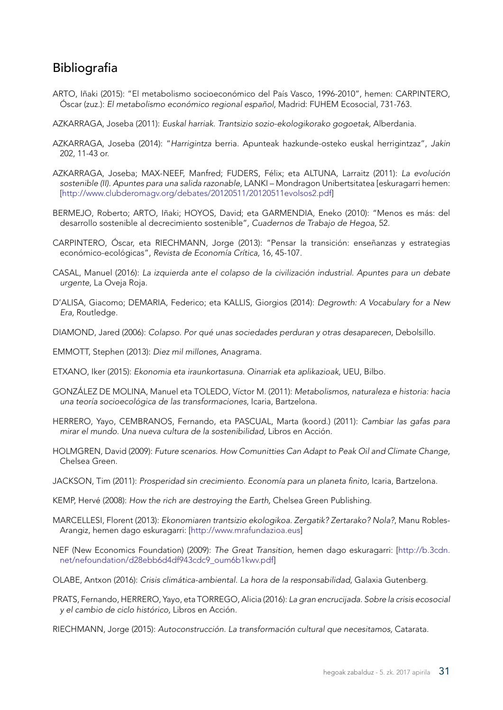# <span id="page-32-0"></span>Bibliografia

- ARTO, Iñaki (2015): "El metabolismo socioeconómico del País Vasco, 1996-2010", hemen: CARPINTERO, Óscar (zuz.): *El metabolismo económico regional español,* Madrid: FUHEM Ecosocial, 731-763.
- AZKARRAGA, Joseba (2011): *Euskal harriak. Trantsizio sozio-ekologikorako gogoetak,* Alberdania.
- AZKARRAGA, Joseba (2014): "*Harrigintza* berria. Apunteak hazkunde-osteko euskal herrigintzaz", *Jakin*  202, 11-43 or.
- AZKARRAGA, Joseba; MAX-NEEF, Manfred; FUDERS, Félix; eta ALTUNA, Larraitz (2011): *La evolución sostenible (II). Apuntes para una salida razonable,* LANKI – Mondragon Unibertsitatea [eskuragarri hemen: [\[http://www.clubderomagv.org/debates/20120511/20120511evolsos2.pdf](http://www.clubderomagv.org/debates/20120511/20120511evolsos2.pdf)]
- BERMEJO, Roberto; ARTO, Iñaki; HOYOS, David; eta GARMENDIA, Eneko (2010): "Menos es más: del desarrollo sostenible al decrecimiento sostenible"*, Cuadernos de Trabajo de Hegoa*, 52.
- CARPINTERO, Óscar, eta RIECHMANN, Jorge (2013): "Pensar la transición: enseñanzas y estrategias económico-ecológicas", *Revista de Economía Crítica,* 16, 45-107.
- CASAL, Manuel (2016): *La izquierda ante el colapso de la civilización industrial. Apuntes para un debate urgente,* La Oveja Roja.
- D'ALISA, Giacomo; DEMARIA, Federico; eta KALLIS, Giorgios (2014): *Degrowth: A Vocabulary for a New Era,* Routledge.
- DIAMOND, Jared (2006): *Colapso. Por qué unas sociedades perduran y otras desaparecen*, Debolsillo.
- EMMOTT, Stephen (2013): *Diez mil millones,* Anagrama.
- ETXANO, Iker (2015): *Ekonomia eta iraunkortasuna. Oinarriak eta aplikazioak,* UEU, Bilbo.
- GONZÁLEZ DE MOLINA, Manuel eta TOLEDO, Víctor M. (2011): *Metabolismos, naturaleza e historia: hacia una teoría socioecológica de las transformaciones*, Icaria, Bartzelona.
- HERRERO, Yayo, CEMBRANOS, Fernando, eta PASCUAL, Marta (koord.) (2011): *Cambiar las gafas para mirar el mundo. Una nueva cultura de la sostenibilidad,* Libros en Acción.
- HOLMGREN, David (2009): *Future scenarios. How Comunitties Can Adapt to Peak Oil and Climate Change,*  Chelsea Green.
- JACKSON, Tim (2011): Prosperidad sin crecimiento. Economía para un planeta finito, Icaria, Bartzelona.
- KEMP, Hervé (2008): *How the rich are destroying the Earth,* Chelsea Green Publishing.
- MARCELLESI, Florent (2013): *Ekonomiaren trantsizio ekologikoa. Zergatik? Zertarako? Nola?*, Manu Robles-Arangiz, hemen dago eskuragarri: [[http://www.mrafundazioa.eus\]](http://www.mrafundazioa.eus)
- NEF (New Economics Foundation) (2009): *The Great Transition,* hemen dago eskuragarri: [[http://b.3cdn.](http://b.3cdn.net/nefoundation/d28ebb6d4df943cdc9_oum6b1kwv.pdf) [net/nefoundation/d28ebb6d4df943cdc9\\_oum6b1kwv.pdf](http://b.3cdn.net/nefoundation/d28ebb6d4df943cdc9_oum6b1kwv.pdf)]
- OLABE, Antxon (2016): *Crisis climática-ambiental. La hora de la responsabilidad*, Galaxia Gutenberg.
- PRATS, Fernando, HERRERO, Yayo, eta TORREGO, Alicia (2016): *La gran encrucijada. Sobre la crisis ecosocial y el cambio de ciclo histórico,* Libros en Acción.
- RIECHMANN, Jorge (2015): *Autoconstrucción. La transformación cultural que necesitamos,* Catarata.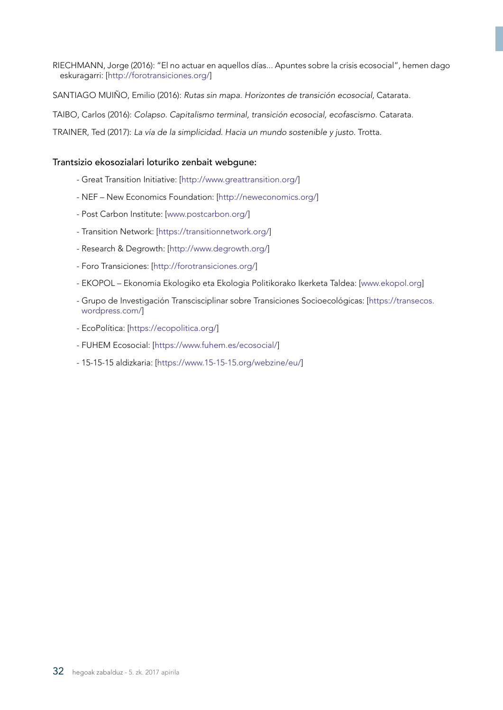RIECHMANN, Jorge (2016): "El no actuar en aquellos días... Apuntes sobre la crisis ecosocial", hemen dago eskuragarri: [<http://forotransiciones.org/>]

SANTIAGO MUIÑO, Emilio (2016): *Rutas sin mapa. Horizontes de transición ecosocial,* Catarata.

TAIBO, Carlos (2016): Colapso. Capitalismo terminal, transición ecosocial, ecofascismo. Catarata.

TRAINER, Ted (2017): *La vía de la simplicidad. Hacia un mundo sostenible y justo.* Trotta.

#### Trantsizio ekosozialari loturiko zenbait webgune:

- Great Transition Initiative: [[http://www.greattransition.org/\]](http://www.greattransition.org/)
- NEF New Economics Foundation: [[http://neweconomics.org/\]](http://neweconomics.org/)
- Post Carbon Institute: [[www.postcarbon.org/](http://www.postcarbon.org/)]
- Transition Network: [[https://transitionnetwork.org/\]](https://transitionnetwork.org/)
- Research & Degrowth: [[http://www.degrowth.org/\]](http://www.degrowth.org/)
- Foro Transiciones: [<http://forotransiciones.org/>]
- EKOPOL Ekonomia Ekologiko eta Ekologia Politikorako Ikerketa Taldea: [[www.ekopol.org](http://www.ekopol.org)]
- Grupo de Investigación Transcisciplinar sobre Transiciones Socioecológicas: [[https://transecos.](https://transecos.wordpress.com/) [wordpress.com/\]](https://transecos.wordpress.com/)
- EcoPolítica: [<https://ecopolitica.org/>]
- FUHEM Ecosocial: [<https://www.fuhem.es/ecosocial/>]
- 15-15-15 aldizkaria: [<https://www.15-15-15.org/webzine/eu/>]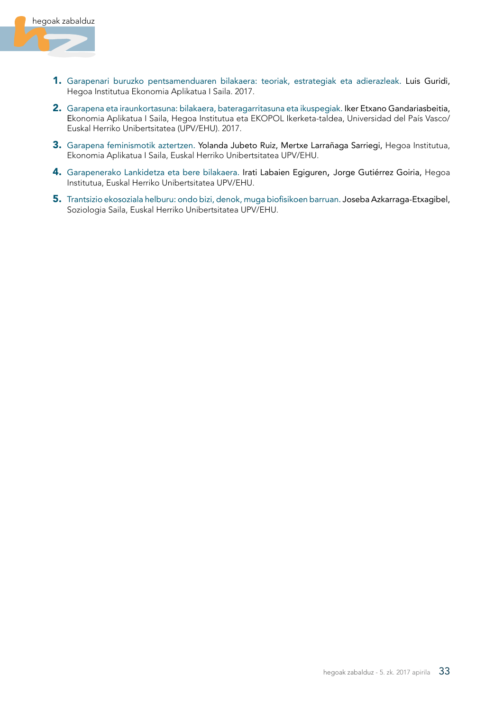

- 1. Garapenari buruzko pentsamenduaren bilakaera: teoriak, estrategiak eta adierazleak. Luis Guridi, Hegoa Institutua Ekonomia Aplikatua I Saila. 2017.
- 2. Garapena eta iraunkortasuna: bilakaera, bateragarritasuna eta ikuspegiak. Iker Etxano Gandariasbeitia, Ekonomia Aplikatua I Saila, Hegoa Institutua eta EKOPOL Ikerketa-taldea, Universidad del País Vasco/ Euskal Herriko Unibertsitatea (UPV/EHU). 2017.
- 3. Garapena feminismotik aztertzen. Yolanda Jubeto Ruiz, Mertxe Larrañaga Sarriegi, Hegoa Institutua, Ekonomia Aplikatua I Saila, Euskal Herriko Unibertsitatea UPV/EHU.
- 4. Garapenerako Lankidetza eta bere bilakaera. Irati Labaien Egiguren, Jorge Gutiérrez Goiria, Hegoa Institutua, Euskal Herriko Unibertsitatea UPV/EHU.
- 5. Trantsizio ekosoziala helburu: ondo bizi, denok, muga biofisikoen barruan. Joseba Azkarraga-Etxagibel, Soziologia Saila, Euskal Herriko Unibertsitatea UPV/EHU.